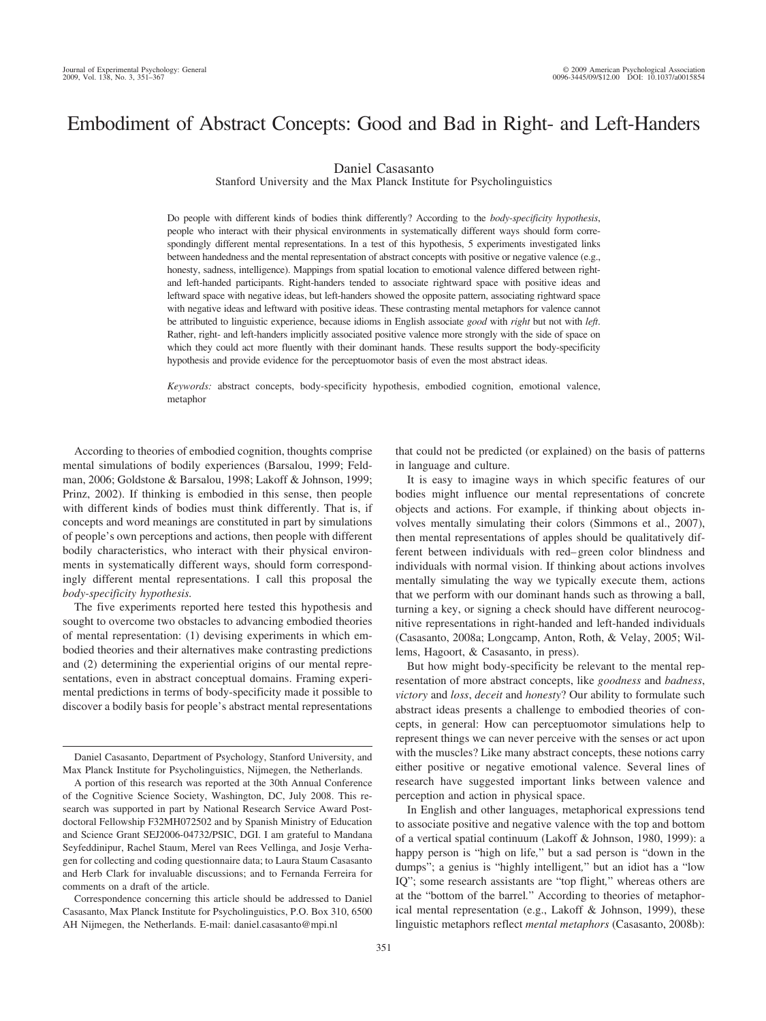# Embodiment of Abstract Concepts: Good and Bad in Right- and Left-Handers

#### Daniel Casasanto

Stanford University and the Max Planck Institute for Psycholinguistics

Do people with different kinds of bodies think differently? According to the *body-specificity hypothesis*, people who interact with their physical environments in systematically different ways should form correspondingly different mental representations. In a test of this hypothesis, 5 experiments investigated links between handedness and the mental representation of abstract concepts with positive or negative valence (e.g., honesty, sadness, intelligence). Mappings from spatial location to emotional valence differed between rightand left-handed participants. Right-handers tended to associate rightward space with positive ideas and leftward space with negative ideas, but left-handers showed the opposite pattern, associating rightward space with negative ideas and leftward with positive ideas. These contrasting mental metaphors for valence cannot be attributed to linguistic experience, because idioms in English associate *good* with *right* but not with *left*. Rather, right- and left-handers implicitly associated positive valence more strongly with the side of space on which they could act more fluently with their dominant hands. These results support the body-specificity hypothesis and provide evidence for the perceptuomotor basis of even the most abstract ideas.

*Keywords:* abstract concepts, body-specificity hypothesis, embodied cognition, emotional valence, metaphor

According to theories of embodied cognition, thoughts comprise mental simulations of bodily experiences (Barsalou, 1999; Feldman, 2006; Goldstone & Barsalou, 1998; Lakoff & Johnson, 1999; Prinz, 2002). If thinking is embodied in this sense, then people with different kinds of bodies must think differently. That is, if concepts and word meanings are constituted in part by simulations of people's own perceptions and actions, then people with different bodily characteristics, who interact with their physical environments in systematically different ways, should form correspondingly different mental representations. I call this proposal the *body-specificity hypothesis.*

The five experiments reported here tested this hypothesis and sought to overcome two obstacles to advancing embodied theories of mental representation: (1) devising experiments in which embodied theories and their alternatives make contrasting predictions and (2) determining the experiential origins of our mental representations, even in abstract conceptual domains. Framing experimental predictions in terms of body-specificity made it possible to discover a bodily basis for people's abstract mental representations

Correspondence concerning this article should be addressed to Daniel Casasanto, Max Planck Institute for Psycholinguistics, P.O. Box 310, 6500 AH Nijmegen, the Netherlands. E-mail: daniel.casasanto@mpi.nl

that could not be predicted (or explained) on the basis of patterns in language and culture. It is easy to imagine ways in which specific features of our

bodies might influence our mental representations of concrete objects and actions. For example, if thinking about objects involves mentally simulating their colors (Simmons et al., 2007), then mental representations of apples should be qualitatively different between individuals with red– green color blindness and individuals with normal vision. If thinking about actions involves mentally simulating the way we typically execute them, actions that we perform with our dominant hands such as throwing a ball, turning a key, or signing a check should have different neurocognitive representations in right-handed and left-handed individuals (Casasanto, 2008a; Longcamp, Anton, Roth, & Velay, 2005; Willems, Hagoort, & Casasanto, in press).

But how might body-specificity be relevant to the mental representation of more abstract concepts, like *goodness* and *badness*, *victory* and *loss*, *deceit* and *honesty*? Our ability to formulate such abstract ideas presents a challenge to embodied theories of concepts, in general: How can perceptuomotor simulations help to represent things we can never perceive with the senses or act upon with the muscles? Like many abstract concepts, these notions carry either positive or negative emotional valence. Several lines of research have suggested important links between valence and perception and action in physical space.

In English and other languages, metaphorical expressions tend to associate positive and negative valence with the top and bottom of a vertical spatial continuum (Lakoff & Johnson, 1980, 1999): a happy person is "high on life*,*" but a sad person is "down in the dumps"; a genius is "highly intelligent*,*" but an idiot has a "low IQ"; some research assistants are "top flight*,*" whereas others are at the "bottom of the barrel*.*" According to theories of metaphorical mental representation (e.g., Lakoff & Johnson, 1999), these linguistic metaphors reflect *mental metaphors* (Casasanto, 2008b):

Daniel Casasanto, Department of Psychology, Stanford University, and Max Planck Institute for Psycholinguistics, Nijmegen, the Netherlands.

A portion of this research was reported at the 30th Annual Conference of the Cognitive Science Society, Washington, DC, July 2008. This research was supported in part by National Research Service Award Postdoctoral Fellowship F32MH072502 and by Spanish Ministry of Education and Science Grant SEJ2006-04732/PSIC, DGI. I am grateful to Mandana Seyfeddinipur, Rachel Staum, Merel van Rees Vellinga, and Josje Verhagen for collecting and coding questionnaire data; to Laura Staum Casasanto and Herb Clark for invaluable discussions; and to Fernanda Ferreira for comments on a draft of the article.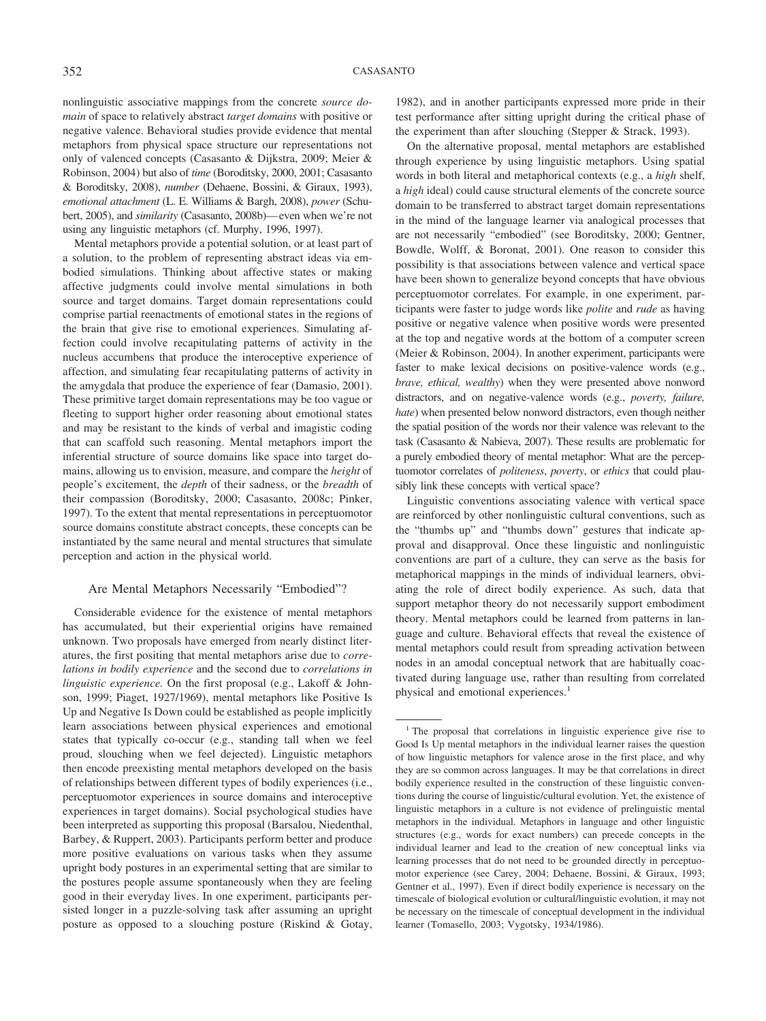#### 352 CASASANTO

nonlinguistic associative mappings from the concrete *source domain* of space to relatively abstract *target domains* with positive or negative valence. Behavioral studies provide evidence that mental metaphors from physical space structure our representations not only of valenced concepts (Casasanto & Dijkstra, 2009; Meier & Robinson, 2004) but also of *time* (Boroditsky, 2000, 2001; Casasanto & Boroditsky, 2008), *number* (Dehaene, Bossini, & Giraux, 1993), *emotional attachment* (L. E. Williams & Bargh, 2008), *power* (Schubert, 2005), and *similarity* (Casasanto, 2008b)—even when we're not using any linguistic metaphors (cf. Murphy, 1996, 1997).

Mental metaphors provide a potential solution, or at least part of a solution, to the problem of representing abstract ideas via embodied simulations. Thinking about affective states or making affective judgments could involve mental simulations in both source and target domains. Target domain representations could comprise partial reenactments of emotional states in the regions of the brain that give rise to emotional experiences. Simulating affection could involve recapitulating patterns of activity in the nucleus accumbens that produce the interoceptive experience of affection, and simulating fear recapitulating patterns of activity in the amygdala that produce the experience of fear (Damasio, 2001). These primitive target domain representations may be too vague or fleeting to support higher order reasoning about emotional states and may be resistant to the kinds of verbal and imagistic coding that can scaffold such reasoning. Mental metaphors import the inferential structure of source domains like space into target domains, allowing us to envision, measure, and compare the *height* of people's excitement, the *depth* of their sadness, or the *breadth* of their compassion (Boroditsky, 2000; Casasanto, 2008c; Pinker, 1997). To the extent that mental representations in perceptuomotor source domains constitute abstract concepts, these concepts can be instantiated by the same neural and mental structures that simulate perception and action in the physical world.

### Are Mental Metaphors Necessarily "Embodied"?

Considerable evidence for the existence of mental metaphors has accumulated, but their experiential origins have remained unknown. Two proposals have emerged from nearly distinct literatures, the first positing that mental metaphors arise due to *correlations in bodily experience* and the second due to *correlations in linguistic experience.* On the first proposal (e.g., Lakoff & Johnson, 1999; Piaget, 1927/1969), mental metaphors like Positive Is Up and Negative Is Down could be established as people implicitly learn associations between physical experiences and emotional states that typically co-occur (e.g., standing tall when we feel proud, slouching when we feel dejected). Linguistic metaphors then encode preexisting mental metaphors developed on the basis of relationships between different types of bodily experiences (i.e., perceptuomotor experiences in source domains and interoceptive experiences in target domains). Social psychological studies have been interpreted as supporting this proposal (Barsalou, Niedenthal, Barbey, & Ruppert, 2003). Participants perform better and produce more positive evaluations on various tasks when they assume upright body postures in an experimental setting that are similar to the postures people assume spontaneously when they are feeling good in their everyday lives. In one experiment, participants persisted longer in a puzzle-solving task after assuming an upright posture as opposed to a slouching posture (Riskind & Gotay, 1982), and in another participants expressed more pride in their test performance after sitting upright during the critical phase of the experiment than after slouching (Stepper & Strack, 1993).

On the alternative proposal, mental metaphors are established through experience by using linguistic metaphors. Using spatial words in both literal and metaphorical contexts (e.g., a *high* shelf, a *high* ideal) could cause structural elements of the concrete source domain to be transferred to abstract target domain representations in the mind of the language learner via analogical processes that are not necessarily "embodied" (see Boroditsky, 2000; Gentner, Bowdle, Wolff, & Boronat, 2001). One reason to consider this possibility is that associations between valence and vertical space have been shown to generalize beyond concepts that have obvious perceptuomotor correlates. For example, in one experiment, participants were faster to judge words like *polite* and *rude* as having positive or negative valence when positive words were presented at the top and negative words at the bottom of a computer screen (Meier & Robinson, 2004). In another experiment, participants were faster to make lexical decisions on positive-valence words (e.g., *brave, ethical, wealthy*) when they were presented above nonword distractors, and on negative-valence words (e.g., *poverty, failure, hate*) when presented below nonword distractors, even though neither the spatial position of the words nor their valence was relevant to the task (Casasanto & Nabieva, 2007). These results are problematic for a purely embodied theory of mental metaphor: What are the perceptuomotor correlates of *politeness*, *poverty*, or *ethics* that could plausibly link these concepts with vertical space?

Linguistic conventions associating valence with vertical space are reinforced by other nonlinguistic cultural conventions, such as the "thumbs up" and "thumbs down" gestures that indicate approval and disapproval. Once these linguistic and nonlinguistic conventions are part of a culture, they can serve as the basis for metaphorical mappings in the minds of individual learners, obviating the role of direct bodily experience. As such, data that support metaphor theory do not necessarily support embodiment theory. Mental metaphors could be learned from patterns in language and culture. Behavioral effects that reveal the existence of mental metaphors could result from spreading activation between nodes in an amodal conceptual network that are habitually coactivated during language use, rather than resulting from correlated physical and emotional experiences.<sup>1</sup>

<sup>&</sup>lt;sup>1</sup> The proposal that correlations in linguistic experience give rise to Good Is Up mental metaphors in the individual learner raises the question of how linguistic metaphors for valence arose in the first place, and why they are so common across languages. It may be that correlations in direct bodily experience resulted in the construction of these linguistic conventions during the course of linguistic/cultural evolution. Yet, the existence of linguistic metaphors in a culture is not evidence of prelinguistic mental metaphors in the individual. Metaphors in language and other linguistic structures (e.g., words for exact numbers) can precede concepts in the individual learner and lead to the creation of new conceptual links via learning processes that do not need to be grounded directly in perceptuomotor experience (see Carey, 2004; Dehaene, Bossini, & Giraux, 1993; Gentner et al., 1997). Even if direct bodily experience is necessary on the timescale of biological evolution or cultural/linguistic evolution, it may not be necessary on the timescale of conceptual development in the individual learner (Tomasello, 2003; Vygotsky, 1934/1986).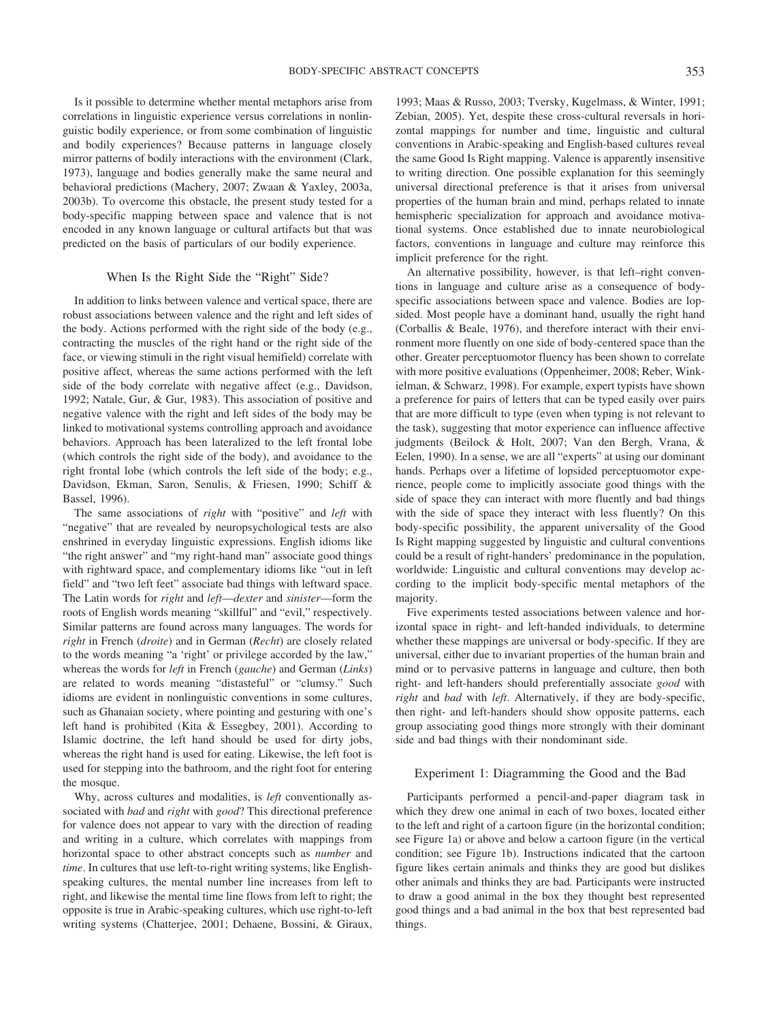Is it possible to determine whether mental metaphors arise from correlations in linguistic experience versus correlations in nonlinguistic bodily experience, or from some combination of linguistic and bodily experiences? Because patterns in language closely mirror patterns of bodily interactions with the environment (Clark, 1973), language and bodies generally make the same neural and behavioral predictions (Machery, 2007; Zwaan & Yaxley, 2003a, 2003b). To overcome this obstacle, the present study tested for a body-specific mapping between space and valence that is not encoded in any known language or cultural artifacts but that was predicted on the basis of particulars of our bodily experience.

## When Is the Right Side the "Right" Side?

In addition to links between valence and vertical space, there are robust associations between valence and the right and left sides of the body. Actions performed with the right side of the body (e.g., contracting the muscles of the right hand or the right side of the face, or viewing stimuli in the right visual hemifield) correlate with positive affect, whereas the same actions performed with the left side of the body correlate with negative affect (e.g., Davidson, 1992; Natale, Gur, & Gur, 1983). This association of positive and negative valence with the right and left sides of the body may be linked to motivational systems controlling approach and avoidance behaviors. Approach has been lateralized to the left frontal lobe (which controls the right side of the body), and avoidance to the right frontal lobe (which controls the left side of the body; e.g., Davidson, Ekman, Saron, Senulis, & Friesen, 1990; Schiff & Bassel, 1996).

The same associations of *right* with "positive" and *left* with "negative" that are revealed by neuropsychological tests are also enshrined in everyday linguistic expressions. English idioms like "the right answer" and "my right-hand man" associate good things with rightward space, and complementary idioms like "out in left field" and "two left feet" associate bad things with leftward space. The Latin words for *right* and *left*—*dexter* and *sinister*—form the roots of English words meaning "skillful" and "evil," respectively. Similar patterns are found across many languages. The words for *right* in French (*droite*) and in German (*Recht*) are closely related to the words meaning "a 'right' or privilege accorded by the law," whereas the words for *left* in French (*gauche*) and German (*Links*) are related to words meaning "distasteful" or "clumsy." Such idioms are evident in nonlinguistic conventions in some cultures, such as Ghanaian society, where pointing and gesturing with one's left hand is prohibited (Kita & Essegbey, 2001). According to Islamic doctrine, the left hand should be used for dirty jobs, whereas the right hand is used for eating. Likewise, the left foot is used for stepping into the bathroom, and the right foot for entering the mosque.

Why, across cultures and modalities, is *left* conventionally associated with *bad* and *right* with *good*? This directional preference for valence does not appear to vary with the direction of reading and writing in a culture, which correlates with mappings from horizontal space to other abstract concepts such as *number* and *time*. In cultures that use left-to-right writing systems, like Englishspeaking cultures, the mental number line increases from left to right, and likewise the mental time line flows from left to right; the opposite is true in Arabic-speaking cultures, which use right-to-left writing systems (Chatterjee, 2001; Dehaene, Bossini, & Giraux, 1993; Maas & Russo, 2003; Tversky, Kugelmass, & Winter, 1991; Zebian, 2005). Yet, despite these cross-cultural reversals in horizontal mappings for number and time, linguistic and cultural conventions in Arabic-speaking and English-based cultures reveal the same Good Is Right mapping. Valence is apparently insensitive to writing direction. One possible explanation for this seemingly universal directional preference is that it arises from universal properties of the human brain and mind, perhaps related to innate hemispheric specialization for approach and avoidance motivational systems. Once established due to innate neurobiological factors, conventions in language and culture may reinforce this implicit preference for the right.

An alternative possibility, however, is that left–right conventions in language and culture arise as a consequence of bodyspecific associations between space and valence. Bodies are lopsided. Most people have a dominant hand, usually the right hand (Corballis & Beale, 1976), and therefore interact with their environment more fluently on one side of body-centered space than the other. Greater perceptuomotor fluency has been shown to correlate with more positive evaluations (Oppenheimer, 2008; Reber, Winkielman, & Schwarz, 1998). For example, expert typists have shown a preference for pairs of letters that can be typed easily over pairs that are more difficult to type (even when typing is not relevant to the task), suggesting that motor experience can influence affective judgments (Beilock & Holt, 2007; Van den Bergh, Vrana, & Eelen, 1990). In a sense, we are all "experts" at using our dominant hands. Perhaps over a lifetime of lopsided perceptuomotor experience, people come to implicitly associate good things with the side of space they can interact with more fluently and bad things with the side of space they interact with less fluently? On this body-specific possibility, the apparent universality of the Good Is Right mapping suggested by linguistic and cultural conventions could be a result of right-handers' predominance in the population, worldwide: Linguistic and cultural conventions may develop according to the implicit body-specific mental metaphors of the majority.

Five experiments tested associations between valence and horizontal space in right- and left-handed individuals, to determine whether these mappings are universal or body-specific. If they are universal, either due to invariant properties of the human brain and mind or to pervasive patterns in language and culture, then both right- and left-handers should preferentially associate *good* with *right* and *bad* with *left*. Alternatively, if they are body-specific, then right- and left-handers should show opposite patterns, each group associating good things more strongly with their dominant side and bad things with their nondominant side.

#### Experiment 1: Diagramming the Good and the Bad

Participants performed a pencil-and-paper diagram task in which they drew one animal in each of two boxes, located either to the left and right of a cartoon figure (in the horizontal condition; see Figure 1a) or above and below a cartoon figure (in the vertical condition; see Figure 1b). Instructions indicated that the cartoon figure likes certain animals and thinks they are good but dislikes other animals and thinks they are bad*.* Participants were instructed to draw a good animal in the box they thought best represented good things and a bad animal in the box that best represented bad things.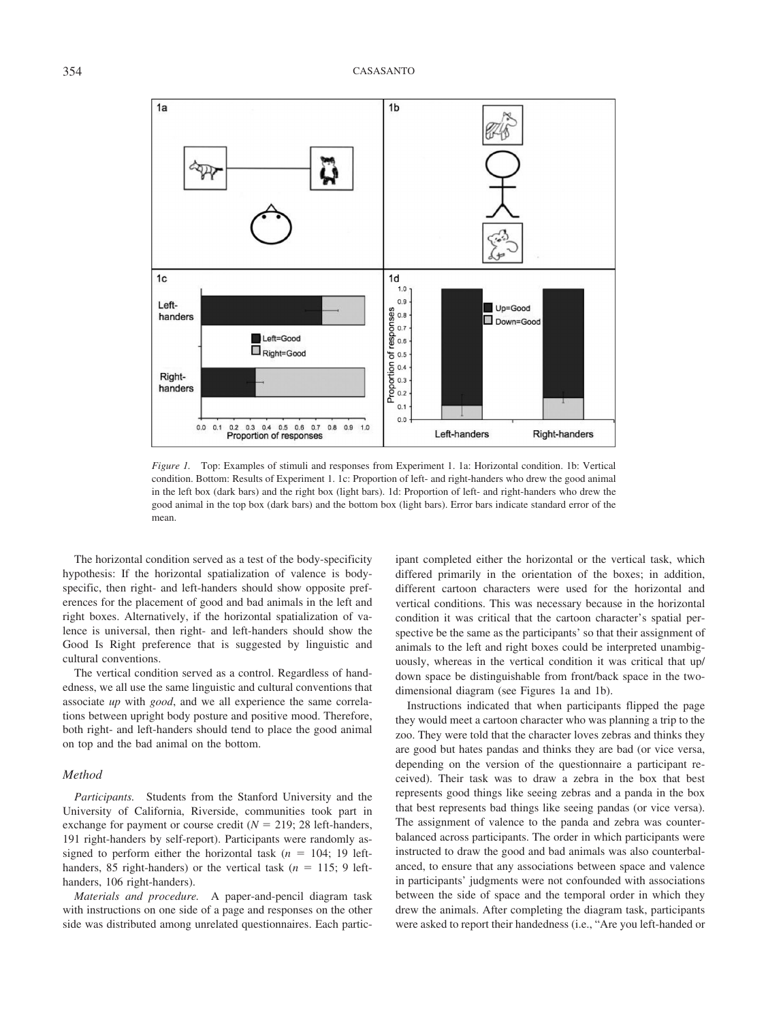

*Figure 1.* Top: Examples of stimuli and responses from Experiment 1. 1a: Horizontal condition. 1b: Vertical condition. Bottom: Results of Experiment 1. 1c: Proportion of left- and right-handers who drew the good animal in the left box (dark bars) and the right box (light bars). 1d: Proportion of left- and right-handers who drew the good animal in the top box (dark bars) and the bottom box (light bars). Error bars indicate standard error of the mean.

The horizontal condition served as a test of the body-specificity hypothesis: If the horizontal spatialization of valence is bodyspecific, then right- and left-handers should show opposite preferences for the placement of good and bad animals in the left and right boxes. Alternatively, if the horizontal spatialization of valence is universal, then right- and left-handers should show the Good Is Right preference that is suggested by linguistic and cultural conventions.

The vertical condition served as a control. Regardless of handedness, we all use the same linguistic and cultural conventions that associate *up* with *good*, and we all experience the same correlations between upright body posture and positive mood. Therefore, both right- and left-handers should tend to place the good animal on top and the bad animal on the bottom.

## *Method*

*Participants.* Students from the Stanford University and the University of California, Riverside, communities took part in exchange for payment or course credit ( $N = 219$ ; 28 left-handers, 191 right-handers by self-report). Participants were randomly assigned to perform either the horizontal task  $(n = 104; 19$  lefthanders, 85 right-handers) or the vertical task  $(n = 115; 9$  lefthanders, 106 right-handers).

*Materials and procedure.* A paper-and-pencil diagram task with instructions on one side of a page and responses on the other side was distributed among unrelated questionnaires. Each participant completed either the horizontal or the vertical task, which differed primarily in the orientation of the boxes; in addition, different cartoon characters were used for the horizontal and vertical conditions. This was necessary because in the horizontal condition it was critical that the cartoon character's spatial perspective be the same as the participants' so that their assignment of animals to the left and right boxes could be interpreted unambiguously, whereas in the vertical condition it was critical that up/ down space be distinguishable from front/back space in the twodimensional diagram (see Figures 1a and 1b).

Instructions indicated that when participants flipped the page they would meet a cartoon character who was planning a trip to the zoo. They were told that the character loves zebras and thinks they are good but hates pandas and thinks they are bad (or vice versa, depending on the version of the questionnaire a participant received). Their task was to draw a zebra in the box that best represents good things like seeing zebras and a panda in the box that best represents bad things like seeing pandas (or vice versa). The assignment of valence to the panda and zebra was counterbalanced across participants. The order in which participants were instructed to draw the good and bad animals was also counterbalanced, to ensure that any associations between space and valence in participants' judgments were not confounded with associations between the side of space and the temporal order in which they drew the animals. After completing the diagram task, participants were asked to report their handedness (i.e., "Are you left-handed or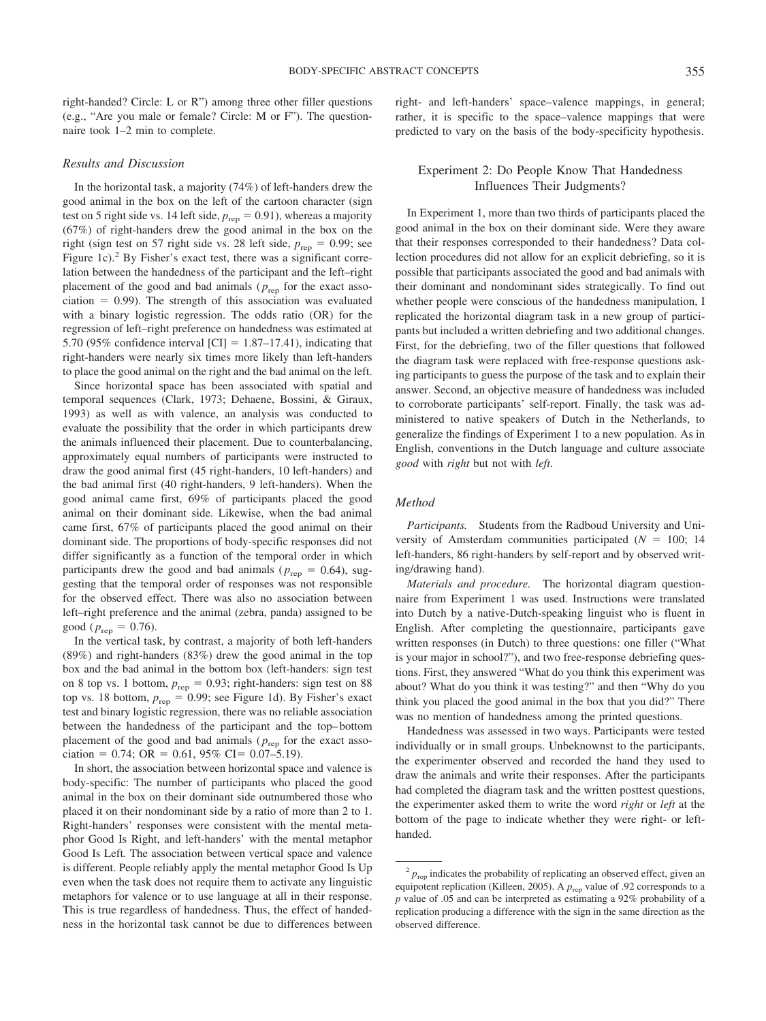right-handed? Circle: L or R") among three other filler questions (e.g., "Are you male or female? Circle: M or F"). The questionnaire took 1–2 min to complete.

#### *Results and Discussion*

In the horizontal task, a majority (74%) of left-handers drew the good animal in the box on the left of the cartoon character (sign test on 5 right side vs. 14 left side,  $p_{\text{rep}} = 0.91$ ), whereas a majority (67%) of right-handers drew the good animal in the box on the right (sign test on 57 right side vs. 28 left side,  $p_{\text{rep}} = 0.99$ ; see Figure 1c).<sup>2</sup> By Fisher's exact test, there was a significant correlation between the handedness of the participant and the left–right placement of the good and bad animals ( $p_{\text{rep}}$  for the exact association  $= 0.99$ ). The strength of this association was evaluated with a binary logistic regression. The odds ratio (OR) for the regression of left–right preference on handedness was estimated at 5.70 (95% confidence interval  $\text{[CI]} = 1.87{\text -}17.41$ ), indicating that right-handers were nearly six times more likely than left-handers to place the good animal on the right and the bad animal on the left.

Since horizontal space has been associated with spatial and temporal sequences (Clark, 1973; Dehaene, Bossini, & Giraux, 1993) as well as with valence, an analysis was conducted to evaluate the possibility that the order in which participants drew the animals influenced their placement. Due to counterbalancing, approximately equal numbers of participants were instructed to draw the good animal first (45 right-handers, 10 left-handers) and the bad animal first (40 right-handers, 9 left-handers). When the good animal came first, 69% of participants placed the good animal on their dominant side. Likewise, when the bad animal came first, 67% of participants placed the good animal on their dominant side. The proportions of body-specific responses did not differ significantly as a function of the temporal order in which participants drew the good and bad animals ( $p_{\text{rep}} = 0.64$ ), suggesting that the temporal order of responses was not responsible for the observed effect. There was also no association between left–right preference and the animal (zebra, panda) assigned to be good ( $p_{\text{rep}} = 0.76$ ).

In the vertical task, by contrast, a majority of both left-handers (89%) and right-handers (83%) drew the good animal in the top box and the bad animal in the bottom box (left-handers: sign test on 8 top vs. 1 bottom,  $p_{\text{rep}} = 0.93$ ; right-handers: sign test on 88 top vs. 18 bottom,  $p_{\text{rep}} = 0.99$ ; see Figure 1d). By Fisher's exact test and binary logistic regression, there was no reliable association between the handedness of the participant and the top– bottom placement of the good and bad animals ( $p_{\text{rep}}$  for the exact association = 0.74; OR = 0.61, 95% CI= 0.07-5.19).

In short, the association between horizontal space and valence is body-specific: The number of participants who placed the good animal in the box on their dominant side outnumbered those who placed it on their nondominant side by a ratio of more than 2 to 1. Right-handers' responses were consistent with the mental metaphor Good Is Right, and left-handers' with the mental metaphor Good Is Left*.* The association between vertical space and valence is different. People reliably apply the mental metaphor Good Is Up even when the task does not require them to activate any linguistic metaphors for valence or to use language at all in their response. This is true regardless of handedness. Thus, the effect of handedness in the horizontal task cannot be due to differences between right- and left-handers' space–valence mappings, in general; rather, it is specific to the space–valence mappings that were predicted to vary on the basis of the body-specificity hypothesis.

## Experiment 2: Do People Know That Handedness Influences Their Judgments?

In Experiment 1, more than two thirds of participants placed the good animal in the box on their dominant side. Were they aware that their responses corresponded to their handedness? Data collection procedures did not allow for an explicit debriefing, so it is possible that participants associated the good and bad animals with their dominant and nondominant sides strategically. To find out whether people were conscious of the handedness manipulation, I replicated the horizontal diagram task in a new group of participants but included a written debriefing and two additional changes. First, for the debriefing, two of the filler questions that followed the diagram task were replaced with free-response questions asking participants to guess the purpose of the task and to explain their answer. Second, an objective measure of handedness was included to corroborate participants' self-report. Finally, the task was administered to native speakers of Dutch in the Netherlands, to generalize the findings of Experiment 1 to a new population. As in English, conventions in the Dutch language and culture associate *good* with *right* but not with *left*.

#### *Method*

*Participants.* Students from the Radboud University and University of Amsterdam communities participated  $(N = 100; 14)$ left-handers, 86 right-handers by self-report and by observed writing/drawing hand).

*Materials and procedure.* The horizontal diagram questionnaire from Experiment 1 was used. Instructions were translated into Dutch by a native-Dutch-speaking linguist who is fluent in English. After completing the questionnaire, participants gave written responses (in Dutch) to three questions: one filler ("What is your major in school?"), and two free-response debriefing questions. First, they answered "What do you think this experiment was about? What do you think it was testing?" and then "Why do you think you placed the good animal in the box that you did?" There was no mention of handedness among the printed questions.

Handedness was assessed in two ways. Participants were tested individually or in small groups. Unbeknownst to the participants, the experimenter observed and recorded the hand they used to draw the animals and write their responses. After the participants had completed the diagram task and the written posttest questions, the experimenter asked them to write the word *right* or *left* at the bottom of the page to indicate whether they were right- or lefthanded.

 $2 p_{\text{rep}}$  indicates the probability of replicating an observed effect, given an equipotent replication (Killeen, 2005). A  $p_{\text{rep}}$  value of .92 corresponds to a *p* value of .05 and can be interpreted as estimating a 92% probability of a replication producing a difference with the sign in the same direction as the observed difference.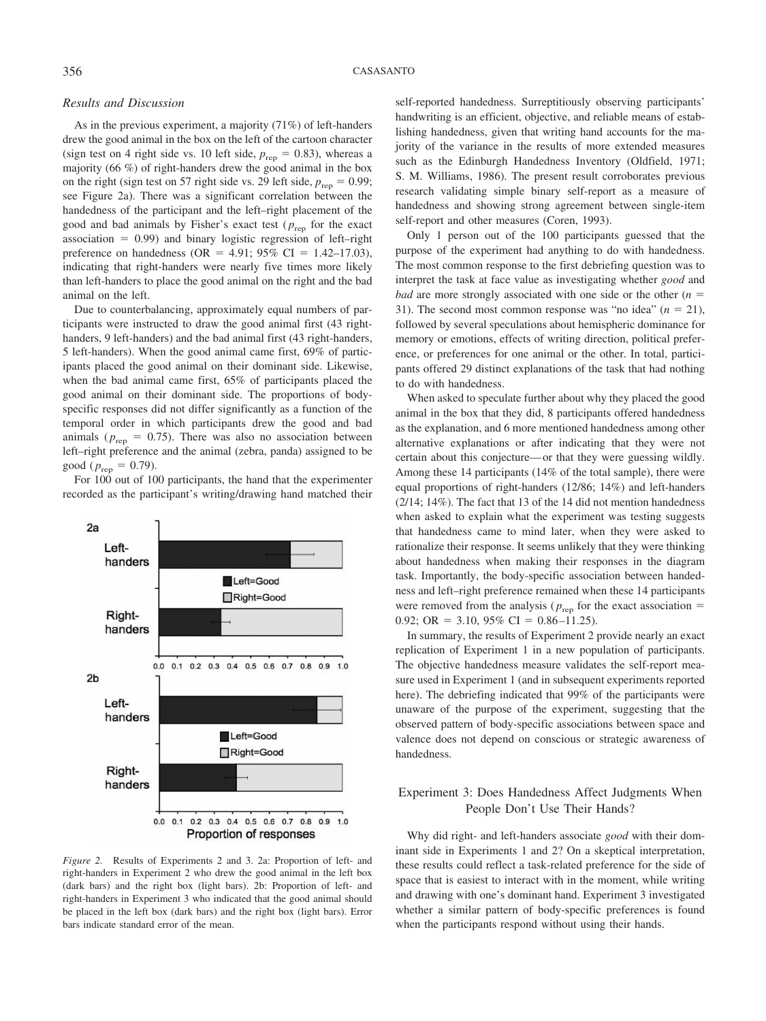# *Results and Discussion*

As in the previous experiment, a majority (71%) of left-handers drew the good animal in the box on the left of the cartoon character (sign test on 4 right side vs. 10 left side,  $p_{\text{rep}} = 0.83$ ), whereas a majority (66 %) of right-handers drew the good animal in the box on the right (sign test on 57 right side vs. 29 left side,  $p_{\text{rep}} = 0.99$ ; see Figure 2a). There was a significant correlation between the handedness of the participant and the left–right placement of the good and bad animals by Fisher's exact test ( $p_{\text{rep}}$  for the exact association  $= 0.99$ ) and binary logistic regression of left–right preference on handedness (OR = 4.91; 95% CI = 1.42–17.03), indicating that right-handers were nearly five times more likely than left-handers to place the good animal on the right and the bad animal on the left.

Due to counterbalancing, approximately equal numbers of participants were instructed to draw the good animal first (43 righthanders, 9 left-handers) and the bad animal first (43 right-handers, 5 left-handers). When the good animal came first, 69% of participants placed the good animal on their dominant side. Likewise, when the bad animal came first, 65% of participants placed the good animal on their dominant side. The proportions of bodyspecific responses did not differ significantly as a function of the temporal order in which participants drew the good and bad animals ( $p_{\text{rep}} = 0.75$ ). There was also no association between left–right preference and the animal (zebra, panda) assigned to be good ( $p_{\text{rep}} = 0.79$ ).

For 100 out of 100 participants, the hand that the experimenter recorded as the participant's writing/drawing hand matched their



*Figure 2.* Results of Experiments 2 and 3. 2a: Proportion of left- and right-handers in Experiment 2 who drew the good animal in the left box (dark bars) and the right box (light bars). 2b: Proportion of left- and right-handers in Experiment 3 who indicated that the good animal should be placed in the left box (dark bars) and the right box (light bars). Error bars indicate standard error of the mean.

self-reported handedness. Surreptitiously observing participants' handwriting is an efficient, objective, and reliable means of establishing handedness, given that writing hand accounts for the majority of the variance in the results of more extended measures such as the Edinburgh Handedness Inventory (Oldfield, 1971; S. M. Williams, 1986). The present result corroborates previous research validating simple binary self-report as a measure of handedness and showing strong agreement between single-item self-report and other measures (Coren, 1993).

Only 1 person out of the 100 participants guessed that the purpose of the experiment had anything to do with handedness. The most common response to the first debriefing question was to interpret the task at face value as investigating whether *good* and *bad* are more strongly associated with one side or the other (*n* 31). The second most common response was "no idea"  $(n = 21)$ , followed by several speculations about hemispheric dominance for memory or emotions, effects of writing direction, political preference, or preferences for one animal or the other. In total, participants offered 29 distinct explanations of the task that had nothing to do with handedness.

When asked to speculate further about why they placed the good animal in the box that they did, 8 participants offered handedness as the explanation, and 6 more mentioned handedness among other alternative explanations or after indicating that they were not certain about this conjecture— or that they were guessing wildly. Among these 14 participants (14% of the total sample), there were equal proportions of right-handers (12/86; 14%) and left-handers (2/14; 14%). The fact that 13 of the 14 did not mention handedness when asked to explain what the experiment was testing suggests that handedness came to mind later, when they were asked to rationalize their response. It seems unlikely that they were thinking about handedness when making their responses in the diagram task. Importantly, the body-specific association between handedness and left–right preference remained when these 14 participants were removed from the analysis ( $p_{\text{rep}}$  for the exact association = 0.92; OR = 3.10, 95% CI = 0.86-11.25).

In summary, the results of Experiment 2 provide nearly an exact replication of Experiment 1 in a new population of participants. The objective handedness measure validates the self-report measure used in Experiment 1 (and in subsequent experiments reported here). The debriefing indicated that 99% of the participants were unaware of the purpose of the experiment, suggesting that the observed pattern of body-specific associations between space and valence does not depend on conscious or strategic awareness of handedness.

# Experiment 3: Does Handedness Affect Judgments When People Don't Use Their Hands?

Why did right- and left-handers associate *good* with their dominant side in Experiments 1 and 2? On a skeptical interpretation, these results could reflect a task-related preference for the side of space that is easiest to interact with in the moment, while writing and drawing with one's dominant hand. Experiment 3 investigated whether a similar pattern of body-specific preferences is found when the participants respond without using their hands.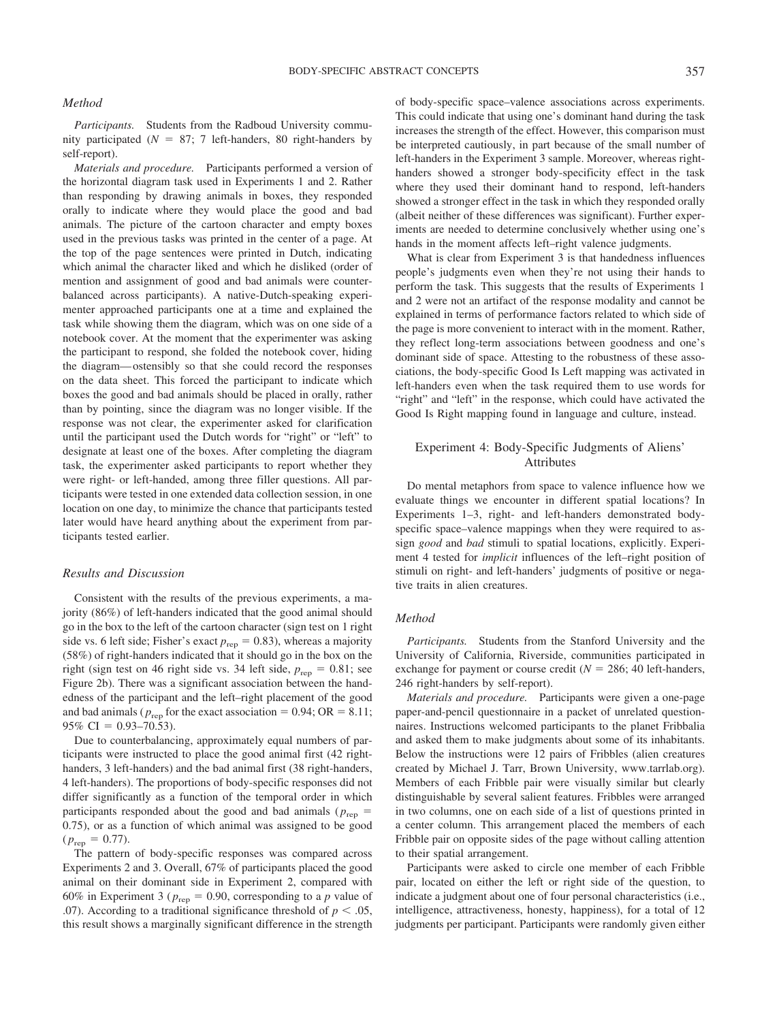#### *Method*

*Participants.* Students from the Radboud University community participated ( $N = 87$ ; 7 left-handers, 80 right-handers by self-report).

*Materials and procedure.* Participants performed a version of the horizontal diagram task used in Experiments 1 and 2. Rather than responding by drawing animals in boxes, they responded orally to indicate where they would place the good and bad animals. The picture of the cartoon character and empty boxes used in the previous tasks was printed in the center of a page. At the top of the page sentences were printed in Dutch, indicating which animal the character liked and which he disliked (order of mention and assignment of good and bad animals were counterbalanced across participants). A native-Dutch-speaking experimenter approached participants one at a time and explained the task while showing them the diagram, which was on one side of a notebook cover. At the moment that the experimenter was asking the participant to respond, she folded the notebook cover, hiding the diagram— ostensibly so that she could record the responses on the data sheet. This forced the participant to indicate which boxes the good and bad animals should be placed in orally, rather than by pointing, since the diagram was no longer visible. If the response was not clear, the experimenter asked for clarification until the participant used the Dutch words for "right" or "left" to designate at least one of the boxes. After completing the diagram task, the experimenter asked participants to report whether they were right- or left-handed, among three filler questions. All participants were tested in one extended data collection session, in one location on one day, to minimize the chance that participants tested later would have heard anything about the experiment from participants tested earlier.

#### *Results and Discussion*

Consistent with the results of the previous experiments, a majority (86%) of left-handers indicated that the good animal should go in the box to the left of the cartoon character (sign test on 1 right side vs. 6 left side; Fisher's exact  $p_{\text{rep}} = 0.83$ ), whereas a majority (58%) of right-handers indicated that it should go in the box on the right (sign test on 46 right side vs. 34 left side,  $p_{\text{rep}} = 0.81$ ; see Figure 2b). There was a significant association between the handedness of the participant and the left–right placement of the good and bad animals ( $p_{\text{ren}}$  for the exact association = 0.94; OR = 8.11;  $95\%$  CI = 0.93-70.53).

Due to counterbalancing, approximately equal numbers of participants were instructed to place the good animal first (42 righthanders, 3 left-handers) and the bad animal first (38 right-handers, 4 left-handers). The proportions of body-specific responses did not differ significantly as a function of the temporal order in which participants responded about the good and bad animals ( $p_{\text{ren}}$ ) 0.75), or as a function of which animal was assigned to be good  $(p_{\text{rep}} = 0.77)$ .

The pattern of body-specific responses was compared across Experiments 2 and 3. Overall, 67% of participants placed the good animal on their dominant side in Experiment 2, compared with 60% in Experiment 3 ( $p_{\text{rep}} = 0.90$ , corresponding to a *p* value of .07). According to a traditional significance threshold of  $p < .05$ , this result shows a marginally significant difference in the strength of body-specific space–valence associations across experiments. This could indicate that using one's dominant hand during the task increases the strength of the effect. However, this comparison must be interpreted cautiously, in part because of the small number of left-handers in the Experiment 3 sample. Moreover, whereas righthanders showed a stronger body-specificity effect in the task where they used their dominant hand to respond, left-handers showed a stronger effect in the task in which they responded orally (albeit neither of these differences was significant). Further experiments are needed to determine conclusively whether using one's hands in the moment affects left–right valence judgments.

What is clear from Experiment 3 is that handedness influences people's judgments even when they're not using their hands to perform the task. This suggests that the results of Experiments 1 and 2 were not an artifact of the response modality and cannot be explained in terms of performance factors related to which side of the page is more convenient to interact with in the moment. Rather, they reflect long-term associations between goodness and one's dominant side of space. Attesting to the robustness of these associations, the body-specific Good Is Left mapping was activated in left-handers even when the task required them to use words for "right" and "left" in the response, which could have activated the Good Is Right mapping found in language and culture, instead.

## Experiment 4: Body-Specific Judgments of Aliens' Attributes

Do mental metaphors from space to valence influence how we evaluate things we encounter in different spatial locations? In Experiments 1–3, right- and left-handers demonstrated bodyspecific space–valence mappings when they were required to assign *good* and *bad* stimuli to spatial locations, explicitly. Experiment 4 tested for *implicit* influences of the left–right position of stimuli on right- and left-handers' judgments of positive or negative traits in alien creatures.

#### *Method*

*Participants.* Students from the Stanford University and the University of California, Riverside, communities participated in exchange for payment or course credit ( $N = 286$ ; 40 left-handers, 246 right-handers by self-report).

*Materials and procedure.* Participants were given a one-page paper-and-pencil questionnaire in a packet of unrelated questionnaires. Instructions welcomed participants to the planet Fribbalia and asked them to make judgments about some of its inhabitants. Below the instructions were 12 pairs of Fribbles (alien creatures created by Michael J. Tarr, Brown University, www.tarrlab.org). Members of each Fribble pair were visually similar but clearly distinguishable by several salient features. Fribbles were arranged in two columns, one on each side of a list of questions printed in a center column. This arrangement placed the members of each Fribble pair on opposite sides of the page without calling attention to their spatial arrangement.

Participants were asked to circle one member of each Fribble pair, located on either the left or right side of the question, to indicate a judgment about one of four personal characteristics (i.e., intelligence, attractiveness, honesty, happiness), for a total of 12 judgments per participant. Participants were randomly given either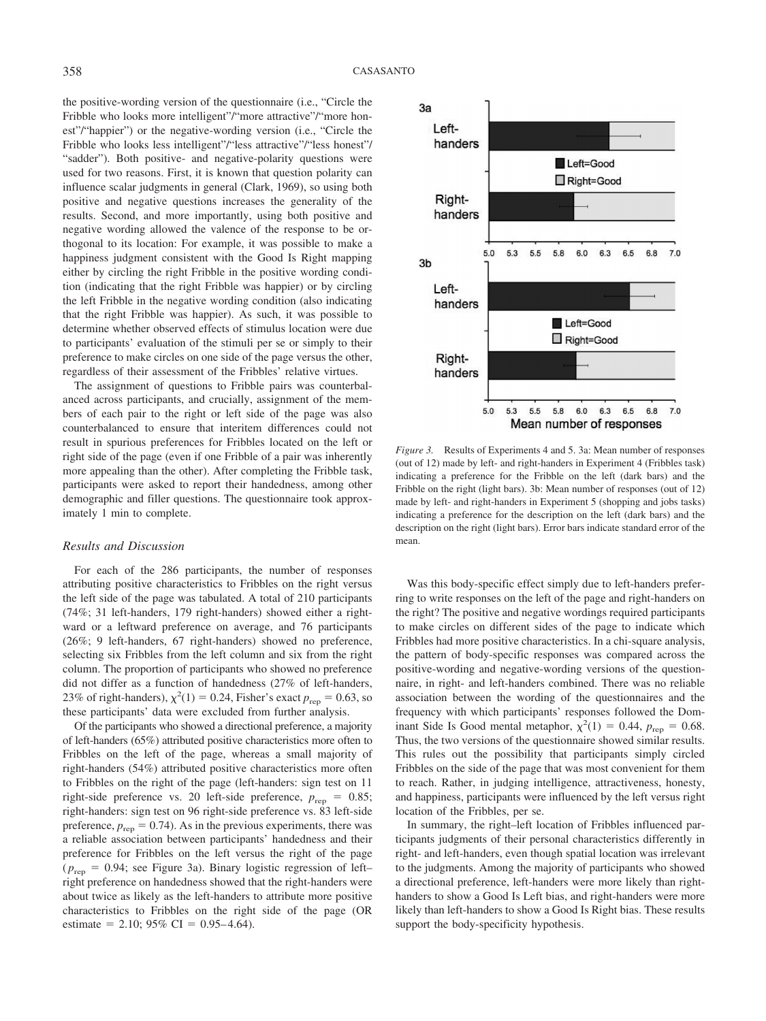the positive-wording version of the questionnaire (i.e., "Circle the Fribble who looks more intelligent"/"more attractive"/"more honest"/"happier") or the negative-wording version (i.e., "Circle the Fribble who looks less intelligent"/"less attractive"/"less honest"/ "sadder"). Both positive- and negative-polarity questions were used for two reasons. First, it is known that question polarity can influence scalar judgments in general (Clark, 1969), so using both positive and negative questions increases the generality of the results. Second, and more importantly, using both positive and negative wording allowed the valence of the response to be orthogonal to its location: For example, it was possible to make a happiness judgment consistent with the Good Is Right mapping either by circling the right Fribble in the positive wording condition (indicating that the right Fribble was happier) or by circling the left Fribble in the negative wording condition (also indicating that the right Fribble was happier). As such, it was possible to determine whether observed effects of stimulus location were due to participants' evaluation of the stimuli per se or simply to their preference to make circles on one side of the page versus the other, regardless of their assessment of the Fribbles' relative virtues.

The assignment of questions to Fribble pairs was counterbalanced across participants, and crucially, assignment of the members of each pair to the right or left side of the page was also counterbalanced to ensure that interitem differences could not result in spurious preferences for Fribbles located on the left or right side of the page (even if one Fribble of a pair was inherently more appealing than the other). After completing the Fribble task, participants were asked to report their handedness, among other demographic and filler questions. The questionnaire took approximately 1 min to complete.

#### *Results and Discussion*

For each of the 286 participants, the number of responses attributing positive characteristics to Fribbles on the right versus the left side of the page was tabulated. A total of 210 participants (74%; 31 left-handers, 179 right-handers) showed either a rightward or a leftward preference on average, and 76 participants (26%; 9 left-handers, 67 right-handers) showed no preference, selecting six Fribbles from the left column and six from the right column. The proportion of participants who showed no preference did not differ as a function of handedness (27% of left-handers, 23% of right-handers),  $\chi^2(1) = 0.24$ , Fisher's exact  $p_{\text{rep}} = 0.63$ , so these participants' data were excluded from further analysis.

Of the participants who showed a directional preference, a majority of left-handers (65%) attributed positive characteristics more often to Fribbles on the left of the page, whereas a small majority of right-handers (54%) attributed positive characteristics more often to Fribbles on the right of the page (left-handers: sign test on 11 right-side preference vs. 20 left-side preference,  $p_{\text{rep}} = 0.85$ ; right-handers: sign test on 96 right-side preference vs. 83 left-side preference,  $p_{\text{rep}} = 0.74$ ). As in the previous experiments, there was a reliable association between participants' handedness and their preference for Fribbles on the left versus the right of the page  $(p_{\text{rep}} = 0.94$ ; see Figure 3a). Binary logistic regression of left– right preference on handedness showed that the right-handers were about twice as likely as the left-handers to attribute more positive characteristics to Fribbles on the right side of the page (OR estimate = 2.10; 95% CI = 0.95–4.64).



*Figure 3.* Results of Experiments 4 and 5. 3a: Mean number of responses (out of 12) made by left- and right-handers in Experiment 4 (Fribbles task) indicating a preference for the Fribble on the left (dark bars) and the Fribble on the right (light bars). 3b: Mean number of responses (out of 12) made by left- and right-handers in Experiment 5 (shopping and jobs tasks) indicating a preference for the description on the left (dark bars) and the description on the right (light bars). Error bars indicate standard error of the mean.

Was this body-specific effect simply due to left-handers preferring to write responses on the left of the page and right-handers on the right? The positive and negative wordings required participants to make circles on different sides of the page to indicate which Fribbles had more positive characteristics. In a chi-square analysis, the pattern of body-specific responses was compared across the positive-wording and negative-wording versions of the questionnaire, in right- and left-handers combined. There was no reliable association between the wording of the questionnaires and the frequency with which participants' responses followed the Dominant Side Is Good mental metaphor,  $\chi^2(1) = 0.44$ ,  $p_{\text{rep}} = 0.68$ . Thus, the two versions of the questionnaire showed similar results. This rules out the possibility that participants simply circled Fribbles on the side of the page that was most convenient for them to reach. Rather, in judging intelligence, attractiveness, honesty, and happiness, participants were influenced by the left versus right location of the Fribbles, per se.

In summary, the right–left location of Fribbles influenced participants judgments of their personal characteristics differently in right- and left-handers, even though spatial location was irrelevant to the judgments. Among the majority of participants who showed a directional preference, left-handers were more likely than righthanders to show a Good Is Left bias, and right-handers were more likely than left-handers to show a Good Is Right bias. These results support the body-specificity hypothesis.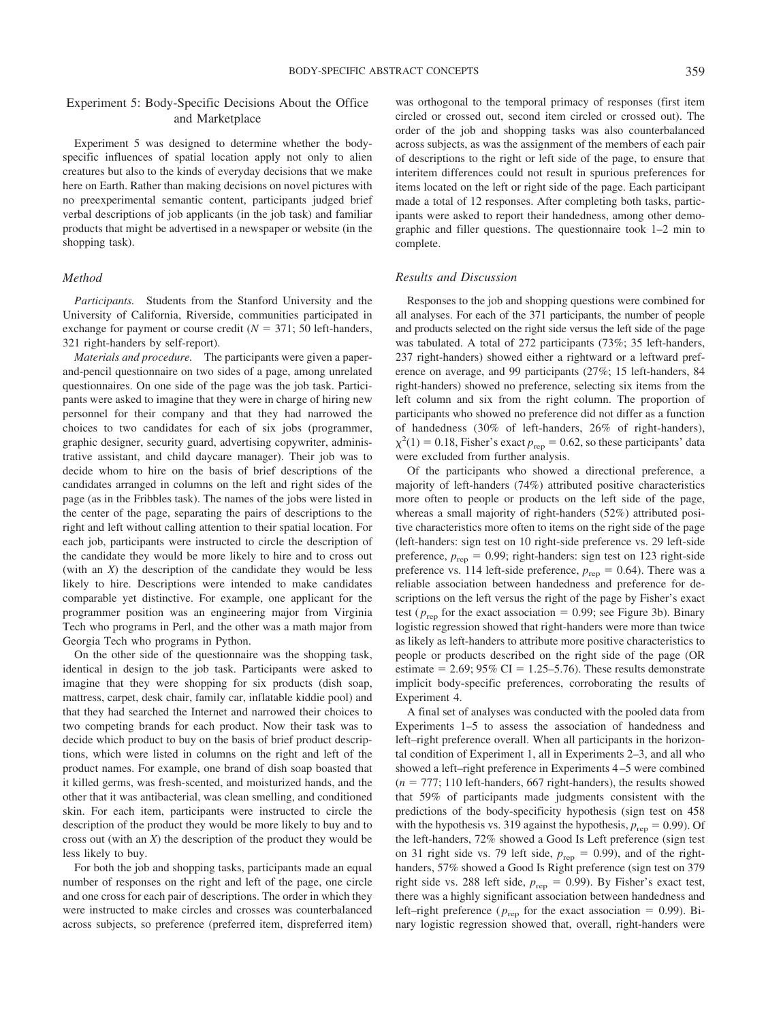# Experiment 5: Body-Specific Decisions About the Office and Marketplace

Experiment 5 was designed to determine whether the bodyspecific influences of spatial location apply not only to alien creatures but also to the kinds of everyday decisions that we make here on Earth. Rather than making decisions on novel pictures with no preexperimental semantic content, participants judged brief verbal descriptions of job applicants (in the job task) and familiar products that might be advertised in a newspaper or website (in the shopping task).

#### *Method*

*Participants.* Students from the Stanford University and the University of California, Riverside, communities participated in exchange for payment or course credit ( $N = 371$ ; 50 left-handers, 321 right-handers by self-report).

*Materials and procedure.* The participants were given a paperand-pencil questionnaire on two sides of a page, among unrelated questionnaires. On one side of the page was the job task. Participants were asked to imagine that they were in charge of hiring new personnel for their company and that they had narrowed the choices to two candidates for each of six jobs (programmer, graphic designer, security guard, advertising copywriter, administrative assistant, and child daycare manager). Their job was to decide whom to hire on the basis of brief descriptions of the candidates arranged in columns on the left and right sides of the page (as in the Fribbles task). The names of the jobs were listed in the center of the page, separating the pairs of descriptions to the right and left without calling attention to their spatial location. For each job, participants were instructed to circle the description of the candidate they would be more likely to hire and to cross out (with an *X*) the description of the candidate they would be less likely to hire. Descriptions were intended to make candidates comparable yet distinctive. For example, one applicant for the programmer position was an engineering major from Virginia Tech who programs in Perl, and the other was a math major from Georgia Tech who programs in Python.

On the other side of the questionnaire was the shopping task, identical in design to the job task. Participants were asked to imagine that they were shopping for six products (dish soap, mattress, carpet, desk chair, family car, inflatable kiddie pool) and that they had searched the Internet and narrowed their choices to two competing brands for each product. Now their task was to decide which product to buy on the basis of brief product descriptions, which were listed in columns on the right and left of the product names. For example, one brand of dish soap boasted that it killed germs, was fresh-scented, and moisturized hands, and the other that it was antibacterial, was clean smelling, and conditioned skin. For each item, participants were instructed to circle the description of the product they would be more likely to buy and to cross out (with an *X*) the description of the product they would be less likely to buy.

For both the job and shopping tasks, participants made an equal number of responses on the right and left of the page, one circle and one cross for each pair of descriptions. The order in which they were instructed to make circles and crosses was counterbalanced across subjects, so preference (preferred item, dispreferred item) was orthogonal to the temporal primacy of responses (first item circled or crossed out, second item circled or crossed out). The order of the job and shopping tasks was also counterbalanced across subjects, as was the assignment of the members of each pair of descriptions to the right or left side of the page, to ensure that interitem differences could not result in spurious preferences for items located on the left or right side of the page. Each participant made a total of 12 responses. After completing both tasks, participants were asked to report their handedness, among other demographic and filler questions. The questionnaire took 1–2 min to complete.

## *Results and Discussion*

Responses to the job and shopping questions were combined for all analyses. For each of the 371 participants, the number of people and products selected on the right side versus the left side of the page was tabulated. A total of 272 participants (73%; 35 left-handers, 237 right-handers) showed either a rightward or a leftward preference on average, and 99 participants (27%; 15 left-handers, 84 right-handers) showed no preference, selecting six items from the left column and six from the right column. The proportion of participants who showed no preference did not differ as a function of handedness (30% of left-handers, 26% of right-handers),  $\chi^2(1) = 0.18$ , Fisher's exact  $p_{\text{rep}} = 0.62$ , so these participants' data were excluded from further analysis.

Of the participants who showed a directional preference, a majority of left-handers (74%) attributed positive characteristics more often to people or products on the left side of the page, whereas a small majority of right-handers (52%) attributed positive characteristics more often to items on the right side of the page (left-handers: sign test on 10 right-side preference vs. 29 left-side preference,  $p_{\text{rep}} = 0.99$ ; right-handers: sign test on 123 right-side preference vs. 114 left-side preference,  $p_{\text{rep}} = 0.64$ ). There was a reliable association between handedness and preference for descriptions on the left versus the right of the page by Fisher's exact test ( $p_{\text{ren}}$  for the exact association = 0.99; see Figure 3b). Binary logistic regression showed that right-handers were more than twice as likely as left-handers to attribute more positive characteristics to people or products described on the right side of the page (OR estimate  $= 2.69$ ; 95% CI  $= 1.25 - 5.76$ ). These results demonstrate implicit body-specific preferences, corroborating the results of Experiment 4.

A final set of analyses was conducted with the pooled data from Experiments 1–5 to assess the association of handedness and left–right preference overall. When all participants in the horizontal condition of Experiment 1, all in Experiments 2–3, and all who showed a left–right preference in Experiments 4 –5 were combined  $(n = 777; 110$  left-handers, 667 right-handers), the results showed that 59% of participants made judgments consistent with the predictions of the body-specificity hypothesis (sign test on 458 with the hypothesis vs. 319 against the hypothesis,  $p_{\text{rep}} = 0.99$ ). Of the left-handers, 72% showed a Good Is Left preference (sign test on 31 right side vs. 79 left side,  $p_{\text{rep}} = 0.99$ ), and of the righthanders, 57% showed a Good Is Right preference (sign test on 379 right side vs. 288 left side,  $p_{\text{rep}} = 0.99$ ). By Fisher's exact test, there was a highly significant association between handedness and left–right preference ( $p_{\text{ren}}$  for the exact association = 0.99). Binary logistic regression showed that, overall, right-handers were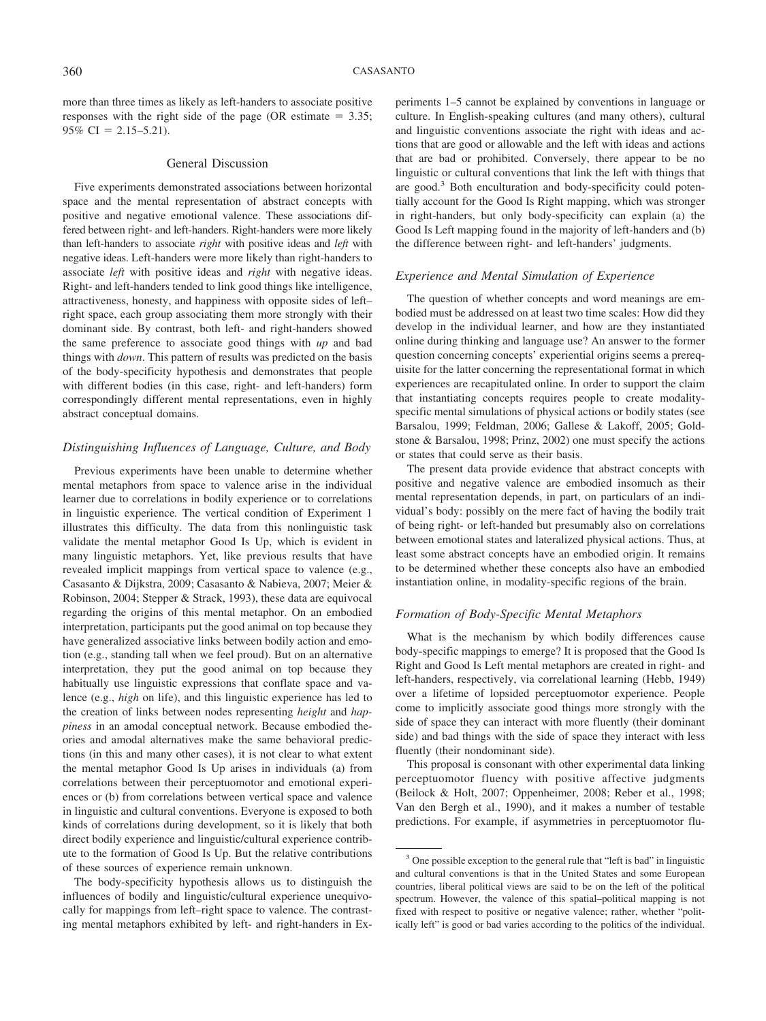more than three times as likely as left-handers to associate positive responses with the right side of the page (OR estimate  $= 3.35$ ;  $95\%$  CI = 2.15–5.21).

#### General Discussion

Five experiments demonstrated associations between horizontal space and the mental representation of abstract concepts with positive and negative emotional valence. These associations differed between right- and left-handers. Right-handers were more likely than left-handers to associate *right* with positive ideas and *left* with negative ideas. Left-handers were more likely than right-handers to associate *left* with positive ideas and *right* with negative ideas. Right- and left-handers tended to link good things like intelligence, attractiveness, honesty, and happiness with opposite sides of left– right space, each group associating them more strongly with their dominant side. By contrast, both left- and right-handers showed the same preference to associate good things with *up* and bad things with *down*. This pattern of results was predicted on the basis of the body-specificity hypothesis and demonstrates that people with different bodies (in this case, right- and left-handers) form correspondingly different mental representations, even in highly abstract conceptual domains.

#### *Distinguishing Influences of Language, Culture, and Body*

Previous experiments have been unable to determine whether mental metaphors from space to valence arise in the individual learner due to correlations in bodily experience or to correlations in linguistic experience*.* The vertical condition of Experiment 1 illustrates this difficulty. The data from this nonlinguistic task validate the mental metaphor Good Is Up, which is evident in many linguistic metaphors. Yet, like previous results that have revealed implicit mappings from vertical space to valence (e.g., Casasanto & Dijkstra, 2009; Casasanto & Nabieva, 2007; Meier & Robinson, 2004; Stepper & Strack, 1993), these data are equivocal regarding the origins of this mental metaphor. On an embodied interpretation, participants put the good animal on top because they have generalized associative links between bodily action and emotion (e.g., standing tall when we feel proud). But on an alternative interpretation, they put the good animal on top because they habitually use linguistic expressions that conflate space and valence (e.g., *high* on life), and this linguistic experience has led to the creation of links between nodes representing *height* and *happiness* in an amodal conceptual network. Because embodied theories and amodal alternatives make the same behavioral predictions (in this and many other cases), it is not clear to what extent the mental metaphor Good Is Up arises in individuals (a) from correlations between their perceptuomotor and emotional experiences or (b) from correlations between vertical space and valence in linguistic and cultural conventions. Everyone is exposed to both kinds of correlations during development, so it is likely that both direct bodily experience and linguistic/cultural experience contribute to the formation of Good Is Up. But the relative contributions of these sources of experience remain unknown.

The body-specificity hypothesis allows us to distinguish the influences of bodily and linguistic/cultural experience unequivocally for mappings from left–right space to valence. The contrasting mental metaphors exhibited by left- and right-handers in Experiments 1–5 cannot be explained by conventions in language or culture. In English-speaking cultures (and many others), cultural and linguistic conventions associate the right with ideas and actions that are good or allowable and the left with ideas and actions that are bad or prohibited. Conversely, there appear to be no linguistic or cultural conventions that link the left with things that are good.<sup>3</sup> Both enculturation and body-specificity could potentially account for the Good Is Right mapping, which was stronger in right-handers, but only body-specificity can explain (a) the Good Is Left mapping found in the majority of left-handers and (b) the difference between right- and left-handers' judgments.

#### *Experience and Mental Simulation of Experience*

The question of whether concepts and word meanings are embodied must be addressed on at least two time scales: How did they develop in the individual learner, and how are they instantiated online during thinking and language use? An answer to the former question concerning concepts' experiential origins seems a prerequisite for the latter concerning the representational format in which experiences are recapitulated online. In order to support the claim that instantiating concepts requires people to create modalityspecific mental simulations of physical actions or bodily states (see Barsalou, 1999; Feldman, 2006; Gallese & Lakoff, 2005; Goldstone & Barsalou, 1998; Prinz, 2002) one must specify the actions or states that could serve as their basis.

The present data provide evidence that abstract concepts with positive and negative valence are embodied insomuch as their mental representation depends, in part, on particulars of an individual's body: possibly on the mere fact of having the bodily trait of being right- or left-handed but presumably also on correlations between emotional states and lateralized physical actions. Thus, at least some abstract concepts have an embodied origin. It remains to be determined whether these concepts also have an embodied instantiation online, in modality-specific regions of the brain.

#### *Formation of Body-Specific Mental Metaphors*

What is the mechanism by which bodily differences cause body-specific mappings to emerge? It is proposed that the Good Is Right and Good Is Left mental metaphors are created in right- and left-handers, respectively, via correlational learning (Hebb, 1949) over a lifetime of lopsided perceptuomotor experience. People come to implicitly associate good things more strongly with the side of space they can interact with more fluently (their dominant side) and bad things with the side of space they interact with less fluently (their nondominant side).

This proposal is consonant with other experimental data linking perceptuomotor fluency with positive affective judgments (Beilock & Holt, 2007; Oppenheimer, 2008; Reber et al., 1998; Van den Bergh et al., 1990), and it makes a number of testable predictions. For example, if asymmetries in perceptuomotor flu-

<sup>&</sup>lt;sup>3</sup> One possible exception to the general rule that "left is bad" in linguistic and cultural conventions is that in the United States and some European countries, liberal political views are said to be on the left of the political spectrum. However, the valence of this spatial–political mapping is not fixed with respect to positive or negative valence; rather, whether "politically left" is good or bad varies according to the politics of the individual.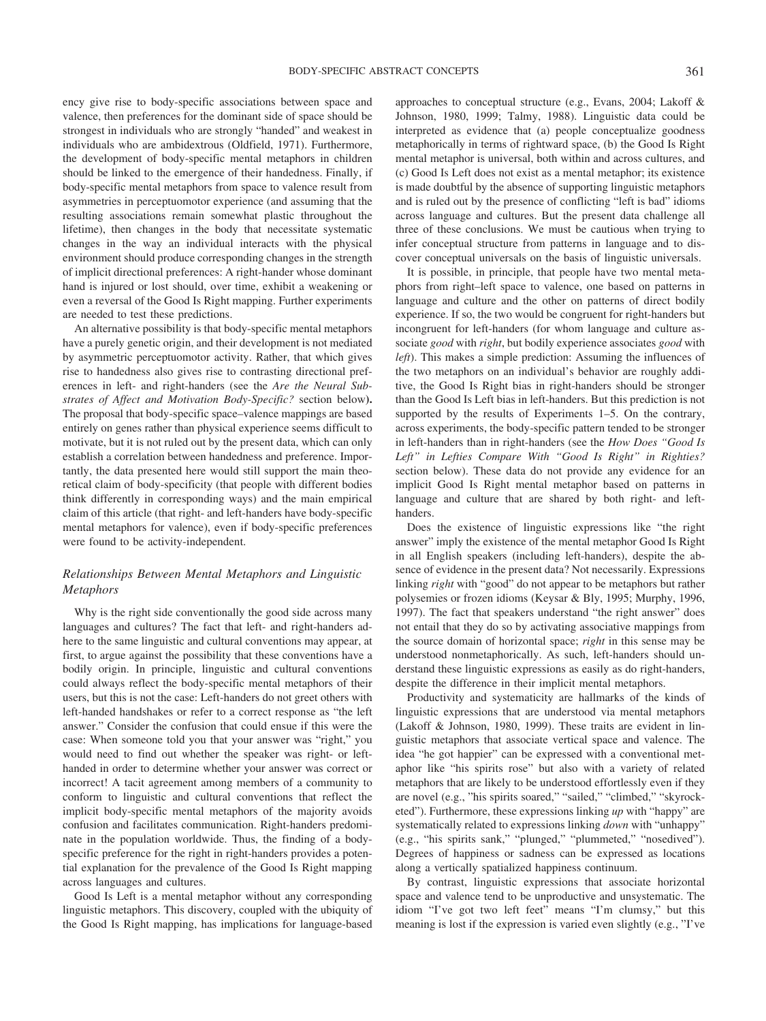ency give rise to body-specific associations between space and valence, then preferences for the dominant side of space should be strongest in individuals who are strongly "handed" and weakest in individuals who are ambidextrous (Oldfield, 1971). Furthermore, the development of body-specific mental metaphors in children should be linked to the emergence of their handedness. Finally, if body-specific mental metaphors from space to valence result from asymmetries in perceptuomotor experience (and assuming that the resulting associations remain somewhat plastic throughout the lifetime), then changes in the body that necessitate systematic changes in the way an individual interacts with the physical environment should produce corresponding changes in the strength of implicit directional preferences: A right-hander whose dominant hand is injured or lost should, over time, exhibit a weakening or even a reversal of the Good Is Right mapping. Further experiments are needed to test these predictions.

An alternative possibility is that body-specific mental metaphors have a purely genetic origin, and their development is not mediated by asymmetric perceptuomotor activity. Rather, that which gives rise to handedness also gives rise to contrasting directional preferences in left- and right-handers (see the *Are the Neural Substrates of Affect and Motivation Body-Specific?* section below**).** The proposal that body-specific space–valence mappings are based entirely on genes rather than physical experience seems difficult to motivate, but it is not ruled out by the present data, which can only establish a correlation between handedness and preference. Importantly, the data presented here would still support the main theoretical claim of body-specificity (that people with different bodies think differently in corresponding ways) and the main empirical claim of this article (that right- and left-handers have body-specific mental metaphors for valence), even if body-specific preferences were found to be activity-independent.

## *Relationships Between Mental Metaphors and Linguistic Metaphors*

Why is the right side conventionally the good side across many languages and cultures? The fact that left- and right-handers adhere to the same linguistic and cultural conventions may appear, at first, to argue against the possibility that these conventions have a bodily origin. In principle, linguistic and cultural conventions could always reflect the body-specific mental metaphors of their users, but this is not the case: Left-handers do not greet others with left-handed handshakes or refer to a correct response as "the left answer." Consider the confusion that could ensue if this were the case: When someone told you that your answer was "right," you would need to find out whether the speaker was right- or lefthanded in order to determine whether your answer was correct or incorrect! A tacit agreement among members of a community to conform to linguistic and cultural conventions that reflect the implicit body-specific mental metaphors of the majority avoids confusion and facilitates communication. Right-handers predominate in the population worldwide. Thus, the finding of a bodyspecific preference for the right in right-handers provides a potential explanation for the prevalence of the Good Is Right mapping across languages and cultures.

Good Is Left is a mental metaphor without any corresponding linguistic metaphors. This discovery, coupled with the ubiquity of the Good Is Right mapping, has implications for language-based approaches to conceptual structure (e.g., Evans, 2004; Lakoff & Johnson, 1980, 1999; Talmy, 1988). Linguistic data could be interpreted as evidence that (a) people conceptualize goodness metaphorically in terms of rightward space, (b) the Good Is Right mental metaphor is universal, both within and across cultures, and (c) Good Is Left does not exist as a mental metaphor; its existence is made doubtful by the absence of supporting linguistic metaphors and is ruled out by the presence of conflicting "left is bad" idioms across language and cultures. But the present data challenge all three of these conclusions. We must be cautious when trying to infer conceptual structure from patterns in language and to discover conceptual universals on the basis of linguistic universals.

It is possible, in principle, that people have two mental metaphors from right–left space to valence, one based on patterns in language and culture and the other on patterns of direct bodily experience. If so, the two would be congruent for right-handers but incongruent for left-handers (for whom language and culture associate *good* with *right*, but bodily experience associates *good* with *left*). This makes a simple prediction: Assuming the influences of the two metaphors on an individual's behavior are roughly additive, the Good Is Right bias in right-handers should be stronger than the Good Is Left bias in left-handers. But this prediction is not supported by the results of Experiments 1–5. On the contrary, across experiments, the body-specific pattern tended to be stronger in left-handers than in right-handers (see the *How Does "Good Is Left" in Lefties Compare With "Good Is Right" in Righties?* section below). These data do not provide any evidence for an implicit Good Is Right mental metaphor based on patterns in language and culture that are shared by both right- and lefthanders.

Does the existence of linguistic expressions like "the right answer" imply the existence of the mental metaphor Good Is Right in all English speakers (including left-handers), despite the absence of evidence in the present data? Not necessarily. Expressions linking *right* with "good" do not appear to be metaphors but rather polysemies or frozen idioms (Keysar & Bly, 1995; Murphy, 1996, 1997). The fact that speakers understand "the right answer" does not entail that they do so by activating associative mappings from the source domain of horizontal space; *right* in this sense may be understood nonmetaphorically. As such, left-handers should understand these linguistic expressions as easily as do right-handers, despite the difference in their implicit mental metaphors.

Productivity and systematicity are hallmarks of the kinds of linguistic expressions that are understood via mental metaphors (Lakoff & Johnson, 1980, 1999). These traits are evident in linguistic metaphors that associate vertical space and valence. The idea "he got happier" can be expressed with a conventional metaphor like "his spirits rose" but also with a variety of related metaphors that are likely to be understood effortlessly even if they are novel (e.g., "his spirits soared," "sailed," "climbed," "skyrocketed"). Furthermore, these expressions linking *up* with "happy" are systematically related to expressions linking *down* with "unhappy" (e.g., "his spirits sank," "plunged," "plummeted," "nosedived"). Degrees of happiness or sadness can be expressed as locations along a vertically spatialized happiness continuum.

By contrast, linguistic expressions that associate horizontal space and valence tend to be unproductive and unsystematic. The idiom "I've got two left feet" means "I'm clumsy," but this meaning is lost if the expression is varied even slightly (e.g., "I've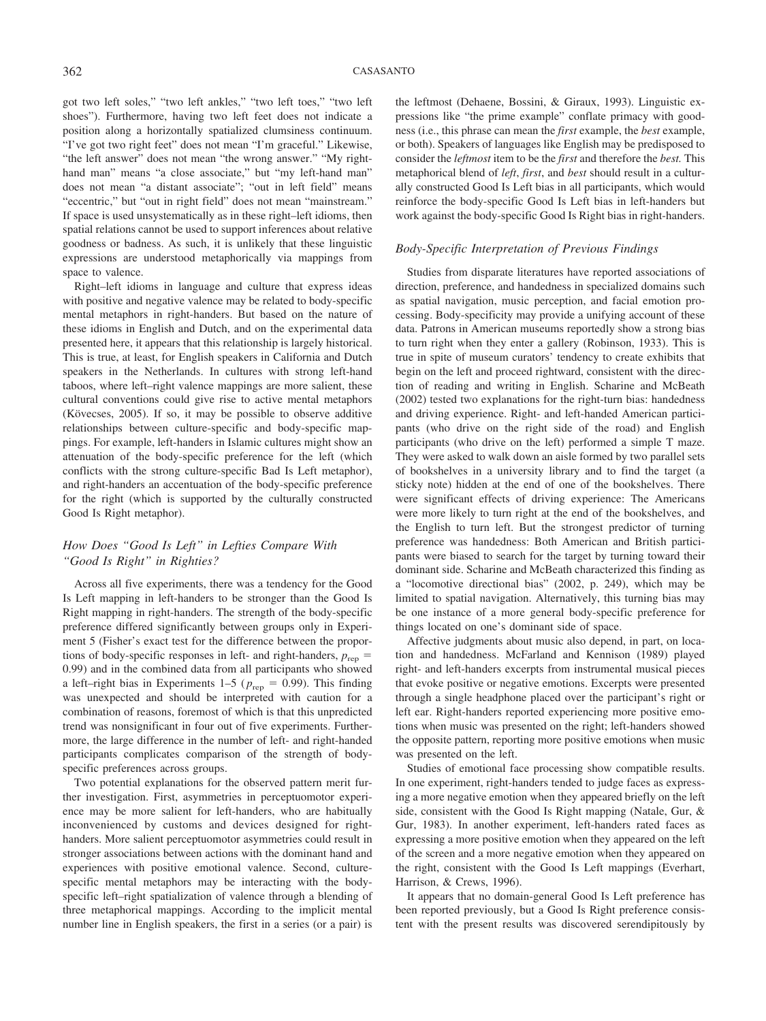got two left soles," "two left ankles," "two left toes," "two left shoes"). Furthermore, having two left feet does not indicate a position along a horizontally spatialized clumsiness continuum. "I've got two right feet" does not mean "I'm graceful." Likewise, "the left answer" does not mean "the wrong answer." "My righthand man" means "a close associate," but "my left-hand man" does not mean "a distant associate"; "out in left field" means "eccentric," but "out in right field" does not mean "mainstream." If space is used unsystematically as in these right–left idioms, then spatial relations cannot be used to support inferences about relative goodness or badness. As such, it is unlikely that these linguistic expressions are understood metaphorically via mappings from space to valence.

Right–left idioms in language and culture that express ideas with positive and negative valence may be related to body-specific mental metaphors in right-handers. But based on the nature of these idioms in English and Dutch, and on the experimental data presented here, it appears that this relationship is largely historical. This is true, at least, for English speakers in California and Dutch speakers in the Netherlands. In cultures with strong left-hand taboos, where left–right valence mappings are more salient, these cultural conventions could give rise to active mental metaphors (Kövecses,  $2005$ ). If so, it may be possible to observe additive relationships between culture-specific and body-specific mappings. For example, left-handers in Islamic cultures might show an attenuation of the body-specific preference for the left (which conflicts with the strong culture-specific Bad Is Left metaphor), and right-handers an accentuation of the body-specific preference for the right (which is supported by the culturally constructed Good Is Right metaphor).

## *How Does "Good Is Left" in Lefties Compare With "Good Is Right" in Righties?*

Across all five experiments, there was a tendency for the Good Is Left mapping in left-handers to be stronger than the Good Is Right mapping in right-handers. The strength of the body-specific preference differed significantly between groups only in Experiment 5 (Fisher's exact test for the difference between the proportions of body-specific responses in left- and right-handers,  $p_{\text{rep}} =$ 0.99) and in the combined data from all participants who showed a left–right bias in Experiments 1–5 ( $p_{\text{rep}} = 0.99$ ). This finding was unexpected and should be interpreted with caution for a combination of reasons, foremost of which is that this unpredicted trend was nonsignificant in four out of five experiments. Furthermore, the large difference in the number of left- and right-handed participants complicates comparison of the strength of bodyspecific preferences across groups.

Two potential explanations for the observed pattern merit further investigation. First, asymmetries in perceptuomotor experience may be more salient for left-handers, who are habitually inconvenienced by customs and devices designed for righthanders. More salient perceptuomotor asymmetries could result in stronger associations between actions with the dominant hand and experiences with positive emotional valence. Second, culturespecific mental metaphors may be interacting with the bodyspecific left–right spatialization of valence through a blending of three metaphorical mappings. According to the implicit mental number line in English speakers, the first in a series (or a pair) is the leftmost (Dehaene, Bossini, & Giraux, 1993). Linguistic expressions like "the prime example" conflate primacy with goodness (i.e., this phrase can mean the *first* example, the *best* example, or both). Speakers of languages like English may be predisposed to consider the *leftmost* item to be the *first* and therefore the *best.* This metaphorical blend of *left*, *first*, and *best* should result in a culturally constructed Good Is Left bias in all participants, which would reinforce the body-specific Good Is Left bias in left-handers but work against the body-specific Good Is Right bias in right-handers.

#### *Body-Specific Interpretation of Previous Findings*

Studies from disparate literatures have reported associations of direction, preference, and handedness in specialized domains such as spatial navigation, music perception, and facial emotion processing. Body-specificity may provide a unifying account of these data. Patrons in American museums reportedly show a strong bias to turn right when they enter a gallery (Robinson, 1933). This is true in spite of museum curators' tendency to create exhibits that begin on the left and proceed rightward, consistent with the direction of reading and writing in English. Scharine and McBeath (2002) tested two explanations for the right-turn bias: handedness and driving experience. Right- and left-handed American participants (who drive on the right side of the road) and English participants (who drive on the left) performed a simple T maze. They were asked to walk down an aisle formed by two parallel sets of bookshelves in a university library and to find the target (a sticky note) hidden at the end of one of the bookshelves. There were significant effects of driving experience: The Americans were more likely to turn right at the end of the bookshelves, and the English to turn left. But the strongest predictor of turning preference was handedness: Both American and British participants were biased to search for the target by turning toward their dominant side. Scharine and McBeath characterized this finding as a "locomotive directional bias" (2002, p. 249), which may be limited to spatial navigation. Alternatively, this turning bias may be one instance of a more general body-specific preference for things located on one's dominant side of space.

Affective judgments about music also depend, in part, on location and handedness. McFarland and Kennison (1989) played right- and left-handers excerpts from instrumental musical pieces that evoke positive or negative emotions. Excerpts were presented through a single headphone placed over the participant's right or left ear. Right-handers reported experiencing more positive emotions when music was presented on the right; left-handers showed the opposite pattern, reporting more positive emotions when music was presented on the left.

Studies of emotional face processing show compatible results. In one experiment, right-handers tended to judge faces as expressing a more negative emotion when they appeared briefly on the left side, consistent with the Good Is Right mapping (Natale, Gur, & Gur, 1983). In another experiment, left-handers rated faces as expressing a more positive emotion when they appeared on the left of the screen and a more negative emotion when they appeared on the right, consistent with the Good Is Left mappings (Everhart, Harrison, & Crews, 1996).

It appears that no domain-general Good Is Left preference has been reported previously, but a Good Is Right preference consistent with the present results was discovered serendipitously by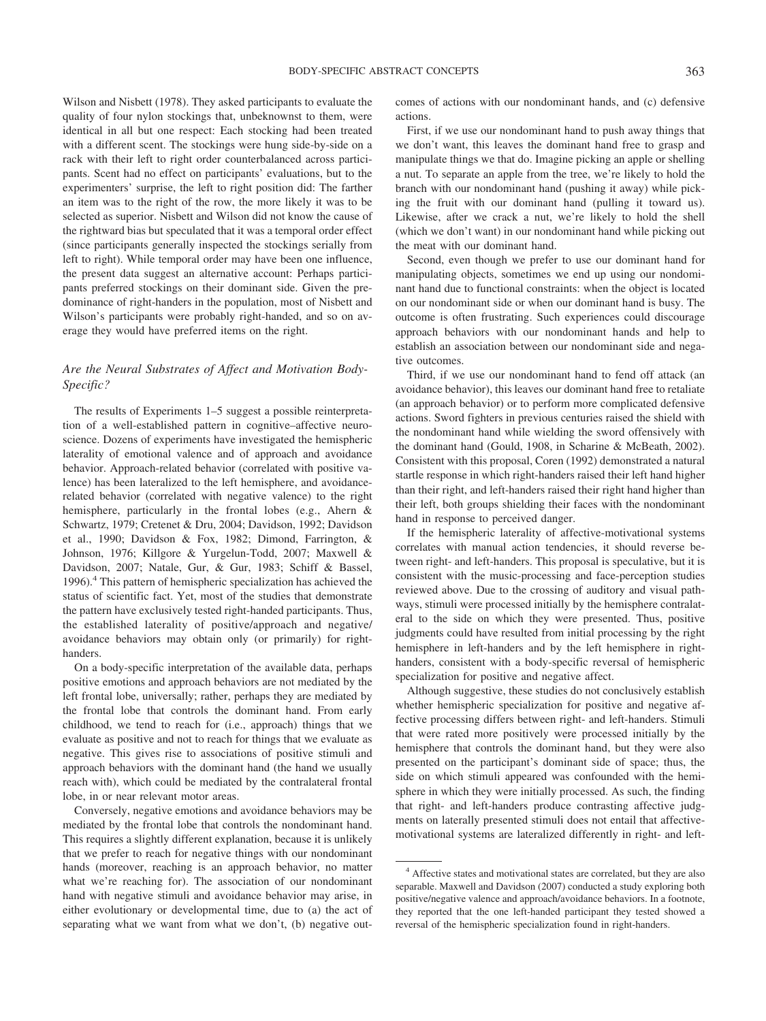Wilson and Nisbett (1978). They asked participants to evaluate the quality of four nylon stockings that, unbeknownst to them, were identical in all but one respect: Each stocking had been treated with a different scent. The stockings were hung side-by-side on a rack with their left to right order counterbalanced across participants. Scent had no effect on participants' evaluations, but to the experimenters' surprise, the left to right position did: The farther an item was to the right of the row, the more likely it was to be selected as superior. Nisbett and Wilson did not know the cause of the rightward bias but speculated that it was a temporal order effect (since participants generally inspected the stockings serially from left to right). While temporal order may have been one influence, the present data suggest an alternative account: Perhaps participants preferred stockings on their dominant side. Given the predominance of right-handers in the population, most of Nisbett and Wilson's participants were probably right-handed, and so on average they would have preferred items on the right.

# *Are the Neural Substrates of Affect and Motivation Body-Specific?*

The results of Experiments 1–5 suggest a possible reinterpretation of a well-established pattern in cognitive–affective neuroscience. Dozens of experiments have investigated the hemispheric laterality of emotional valence and of approach and avoidance behavior. Approach-related behavior (correlated with positive valence) has been lateralized to the left hemisphere, and avoidancerelated behavior (correlated with negative valence) to the right hemisphere, particularly in the frontal lobes (e.g., Ahern & Schwartz, 1979; Cretenet & Dru, 2004; Davidson, 1992; Davidson et al., 1990; Davidson & Fox, 1982; Dimond, Farrington, & Johnson, 1976; Killgore & Yurgelun-Todd, 2007; Maxwell & Davidson, 2007; Natale, Gur, & Gur, 1983; Schiff & Bassel, 1996).4 This pattern of hemispheric specialization has achieved the status of scientific fact. Yet, most of the studies that demonstrate the pattern have exclusively tested right-handed participants. Thus, the established laterality of positive/approach and negative/ avoidance behaviors may obtain only (or primarily) for righthanders.

On a body-specific interpretation of the available data, perhaps positive emotions and approach behaviors are not mediated by the left frontal lobe, universally; rather, perhaps they are mediated by the frontal lobe that controls the dominant hand. From early childhood, we tend to reach for (i.e., approach) things that we evaluate as positive and not to reach for things that we evaluate as negative. This gives rise to associations of positive stimuli and approach behaviors with the dominant hand (the hand we usually reach with), which could be mediated by the contralateral frontal lobe, in or near relevant motor areas.

Conversely, negative emotions and avoidance behaviors may be mediated by the frontal lobe that controls the nondominant hand. This requires a slightly different explanation, because it is unlikely that we prefer to reach for negative things with our nondominant hands (moreover, reaching is an approach behavior, no matter what we're reaching for). The association of our nondominant hand with negative stimuli and avoidance behavior may arise, in either evolutionary or developmental time, due to (a) the act of separating what we want from what we don't, (b) negative outcomes of actions with our nondominant hands, and (c) defensive actions.

First, if we use our nondominant hand to push away things that we don't want, this leaves the dominant hand free to grasp and manipulate things we that do. Imagine picking an apple or shelling a nut. To separate an apple from the tree, we're likely to hold the branch with our nondominant hand (pushing it away) while picking the fruit with our dominant hand (pulling it toward us). Likewise, after we crack a nut, we're likely to hold the shell (which we don't want) in our nondominant hand while picking out the meat with our dominant hand.

Second, even though we prefer to use our dominant hand for manipulating objects, sometimes we end up using our nondominant hand due to functional constraints: when the object is located on our nondominant side or when our dominant hand is busy. The outcome is often frustrating. Such experiences could discourage approach behaviors with our nondominant hands and help to establish an association between our nondominant side and negative outcomes.

Third, if we use our nondominant hand to fend off attack (an avoidance behavior), this leaves our dominant hand free to retaliate (an approach behavior) or to perform more complicated defensive actions. Sword fighters in previous centuries raised the shield with the nondominant hand while wielding the sword offensively with the dominant hand (Gould, 1908, in Scharine & McBeath, 2002). Consistent with this proposal, Coren (1992) demonstrated a natural startle response in which right-handers raised their left hand higher than their right, and left-handers raised their right hand higher than their left, both groups shielding their faces with the nondominant hand in response to perceived danger.

If the hemispheric laterality of affective-motivational systems correlates with manual action tendencies, it should reverse between right- and left-handers. This proposal is speculative, but it is consistent with the music-processing and face-perception studies reviewed above. Due to the crossing of auditory and visual pathways, stimuli were processed initially by the hemisphere contralateral to the side on which they were presented. Thus, positive judgments could have resulted from initial processing by the right hemisphere in left-handers and by the left hemisphere in righthanders, consistent with a body-specific reversal of hemispheric specialization for positive and negative affect.

Although suggestive, these studies do not conclusively establish whether hemispheric specialization for positive and negative affective processing differs between right- and left-handers. Stimuli that were rated more positively were processed initially by the hemisphere that controls the dominant hand, but they were also presented on the participant's dominant side of space; thus, the side on which stimuli appeared was confounded with the hemisphere in which they were initially processed. As such, the finding that right- and left-handers produce contrasting affective judgments on laterally presented stimuli does not entail that affectivemotivational systems are lateralized differently in right- and left-

<sup>4</sup> Affective states and motivational states are correlated, but they are also separable. Maxwell and Davidson (2007) conducted a study exploring both positive/negative valence and approach/avoidance behaviors. In a footnote, they reported that the one left-handed participant they tested showed a reversal of the hemispheric specialization found in right-handers.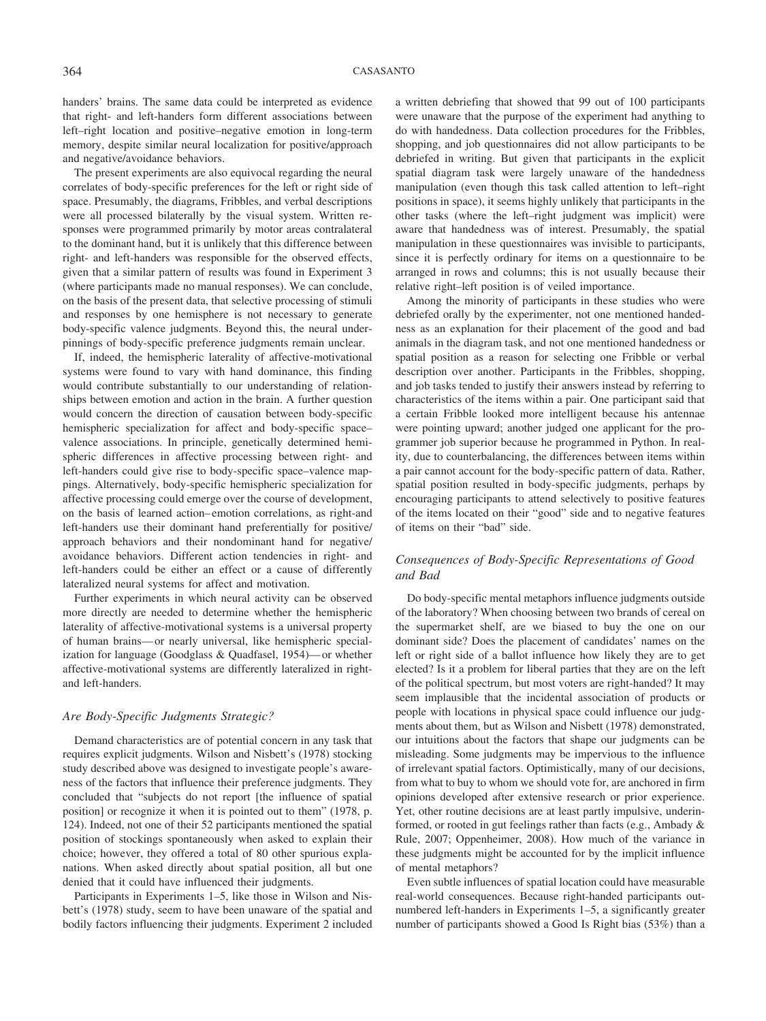handers' brains. The same data could be interpreted as evidence that right- and left-handers form different associations between left–right location and positive–negative emotion in long-term memory, despite similar neural localization for positive/approach and negative/avoidance behaviors.

The present experiments are also equivocal regarding the neural correlates of body-specific preferences for the left or right side of space. Presumably, the diagrams, Fribbles, and verbal descriptions were all processed bilaterally by the visual system. Written responses were programmed primarily by motor areas contralateral to the dominant hand, but it is unlikely that this difference between right- and left-handers was responsible for the observed effects, given that a similar pattern of results was found in Experiment 3 (where participants made no manual responses). We can conclude, on the basis of the present data, that selective processing of stimuli and responses by one hemisphere is not necessary to generate body-specific valence judgments. Beyond this, the neural underpinnings of body-specific preference judgments remain unclear.

If, indeed, the hemispheric laterality of affective-motivational systems were found to vary with hand dominance, this finding would contribute substantially to our understanding of relationships between emotion and action in the brain. A further question would concern the direction of causation between body-specific hemispheric specialization for affect and body-specific space– valence associations. In principle, genetically determined hemispheric differences in affective processing between right- and left-handers could give rise to body-specific space–valence mappings. Alternatively, body-specific hemispheric specialization for affective processing could emerge over the course of development, on the basis of learned action– emotion correlations, as right-and left-handers use their dominant hand preferentially for positive/ approach behaviors and their nondominant hand for negative/ avoidance behaviors. Different action tendencies in right- and left-handers could be either an effect or a cause of differently lateralized neural systems for affect and motivation.

Further experiments in which neural activity can be observed more directly are needed to determine whether the hemispheric laterality of affective-motivational systems is a universal property of human brains— or nearly universal, like hemispheric specialization for language (Goodglass & Quadfasel, 1954)— or whether affective-motivational systems are differently lateralized in rightand left-handers.

#### *Are Body-Specific Judgments Strategic?*

Demand characteristics are of potential concern in any task that requires explicit judgments. Wilson and Nisbett's (1978) stocking study described above was designed to investigate people's awareness of the factors that influence their preference judgments. They concluded that "subjects do not report [the influence of spatial position] or recognize it when it is pointed out to them" (1978, p. 124). Indeed, not one of their 52 participants mentioned the spatial position of stockings spontaneously when asked to explain their choice; however, they offered a total of 80 other spurious explanations. When asked directly about spatial position, all but one denied that it could have influenced their judgments.

Participants in Experiments 1–5, like those in Wilson and Nisbett's (1978) study, seem to have been unaware of the spatial and bodily factors influencing their judgments. Experiment 2 included a written debriefing that showed that 99 out of 100 participants were unaware that the purpose of the experiment had anything to do with handedness. Data collection procedures for the Fribbles, shopping, and job questionnaires did not allow participants to be debriefed in writing. But given that participants in the explicit spatial diagram task were largely unaware of the handedness manipulation (even though this task called attention to left–right positions in space), it seems highly unlikely that participants in the other tasks (where the left–right judgment was implicit) were aware that handedness was of interest. Presumably, the spatial manipulation in these questionnaires was invisible to participants, since it is perfectly ordinary for items on a questionnaire to be arranged in rows and columns; this is not usually because their relative right–left position is of veiled importance.

Among the minority of participants in these studies who were debriefed orally by the experimenter, not one mentioned handedness as an explanation for their placement of the good and bad animals in the diagram task, and not one mentioned handedness or spatial position as a reason for selecting one Fribble or verbal description over another. Participants in the Fribbles, shopping, and job tasks tended to justify their answers instead by referring to characteristics of the items within a pair. One participant said that a certain Fribble looked more intelligent because his antennae were pointing upward; another judged one applicant for the programmer job superior because he programmed in Python. In reality, due to counterbalancing, the differences between items within a pair cannot account for the body-specific pattern of data. Rather, spatial position resulted in body-specific judgments, perhaps by encouraging participants to attend selectively to positive features of the items located on their "good" side and to negative features of items on their "bad" side.

# *Consequences of Body-Specific Representations of Good and Bad*

Do body-specific mental metaphors influence judgments outside of the laboratory? When choosing between two brands of cereal on the supermarket shelf, are we biased to buy the one on our dominant side? Does the placement of candidates' names on the left or right side of a ballot influence how likely they are to get elected? Is it a problem for liberal parties that they are on the left of the political spectrum, but most voters are right-handed? It may seem implausible that the incidental association of products or people with locations in physical space could influence our judgments about them, but as Wilson and Nisbett (1978) demonstrated, our intuitions about the factors that shape our judgments can be misleading. Some judgments may be impervious to the influence of irrelevant spatial factors. Optimistically, many of our decisions, from what to buy to whom we should vote for, are anchored in firm opinions developed after extensive research or prior experience. Yet, other routine decisions are at least partly impulsive, underinformed, or rooted in gut feelings rather than facts (e.g., Ambady & Rule, 2007; Oppenheimer, 2008). How much of the variance in these judgments might be accounted for by the implicit influence of mental metaphors?

Even subtle influences of spatial location could have measurable real-world consequences. Because right-handed participants outnumbered left-handers in Experiments 1–5, a significantly greater number of participants showed a Good Is Right bias (53%) than a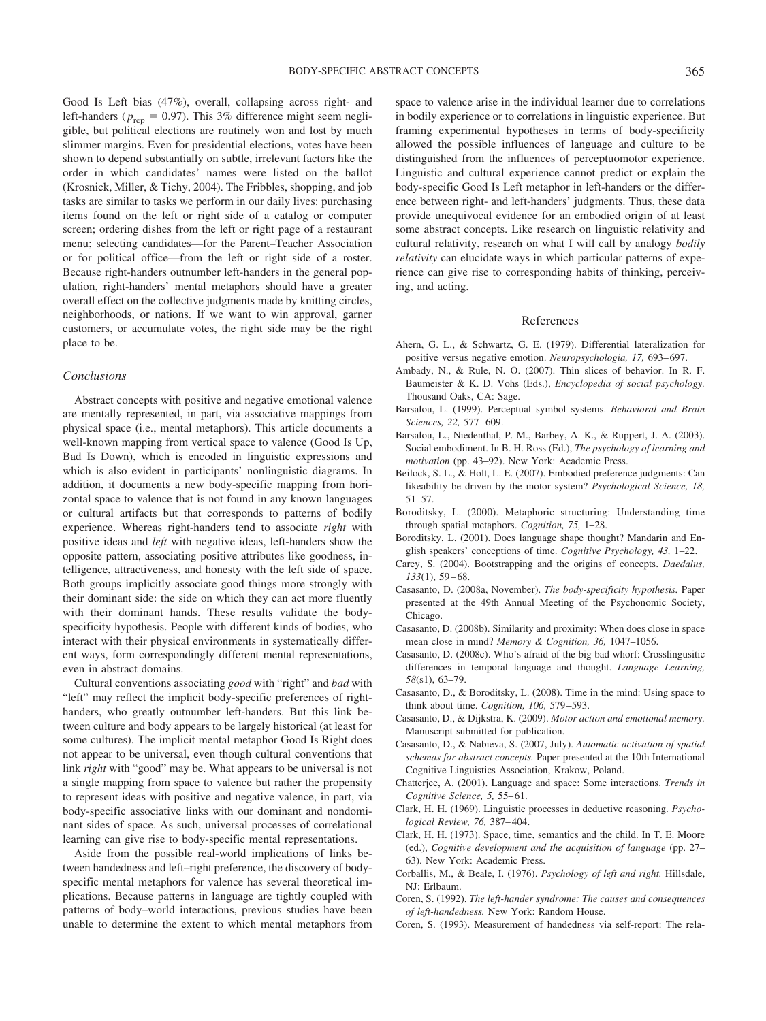Good Is Left bias (47%), overall, collapsing across right- and left-handers ( $p_{\text{rep}} = 0.97$ ). This 3% difference might seem negligible, but political elections are routinely won and lost by much slimmer margins. Even for presidential elections, votes have been shown to depend substantially on subtle, irrelevant factors like the order in which candidates' names were listed on the ballot (Krosnick, Miller, & Tichy, 2004). The Fribbles, shopping, and job tasks are similar to tasks we perform in our daily lives: purchasing items found on the left or right side of a catalog or computer screen; ordering dishes from the left or right page of a restaurant menu; selecting candidates—for the Parent–Teacher Association or for political office—from the left or right side of a roster. Because right-handers outnumber left-handers in the general population, right-handers' mental metaphors should have a greater overall effect on the collective judgments made by knitting circles, neighborhoods, or nations. If we want to win approval, garner customers, or accumulate votes, the right side may be the right place to be.

#### *Conclusions*

Abstract concepts with positive and negative emotional valence are mentally represented, in part, via associative mappings from physical space (i.e., mental metaphors). This article documents a well-known mapping from vertical space to valence (Good Is Up, Bad Is Down), which is encoded in linguistic expressions and which is also evident in participants' nonlinguistic diagrams. In addition, it documents a new body-specific mapping from horizontal space to valence that is not found in any known languages or cultural artifacts but that corresponds to patterns of bodily experience. Whereas right-handers tend to associate *right* with positive ideas and *left* with negative ideas, left-handers show the opposite pattern, associating positive attributes like goodness, intelligence, attractiveness, and honesty with the left side of space. Both groups implicitly associate good things more strongly with their dominant side: the side on which they can act more fluently with their dominant hands. These results validate the bodyspecificity hypothesis. People with different kinds of bodies, who interact with their physical environments in systematically different ways, form correspondingly different mental representations, even in abstract domains.

Cultural conventions associating *good* with "right" and *bad* with "left" may reflect the implicit body-specific preferences of righthanders, who greatly outnumber left-handers. But this link between culture and body appears to be largely historical (at least for some cultures). The implicit mental metaphor Good Is Right does not appear to be universal, even though cultural conventions that link *right* with "good" may be. What appears to be universal is not a single mapping from space to valence but rather the propensity to represent ideas with positive and negative valence, in part, via body-specific associative links with our dominant and nondominant sides of space. As such, universal processes of correlational learning can give rise to body-specific mental representations.

Aside from the possible real-world implications of links between handedness and left–right preference, the discovery of bodyspecific mental metaphors for valence has several theoretical implications. Because patterns in language are tightly coupled with patterns of body–world interactions, previous studies have been unable to determine the extent to which mental metaphors from space to valence arise in the individual learner due to correlations in bodily experience or to correlations in linguistic experience. But framing experimental hypotheses in terms of body-specificity allowed the possible influences of language and culture to be distinguished from the influences of perceptuomotor experience. Linguistic and cultural experience cannot predict or explain the body-specific Good Is Left metaphor in left-handers or the difference between right- and left-handers' judgments. Thus, these data provide unequivocal evidence for an embodied origin of at least some abstract concepts. Like research on linguistic relativity and cultural relativity, research on what I will call by analogy *bodily relativity* can elucidate ways in which particular patterns of experience can give rise to corresponding habits of thinking, perceiving, and acting.

#### References

- Ahern, G. L., & Schwartz, G. E. (1979). Differential lateralization for positive versus negative emotion. *Neuropsychologia*, 17, 693–697.
- Ambady, N., & Rule, N. O. (2007). Thin slices of behavior. In R. F. Baumeister & K. D. Vohs (Eds.), *Encyclopedia of social psychology.* Thousand Oaks, CA: Sage.
- Barsalou, L. (1999). Perceptual symbol systems. *Behavioral and Brain Sciences, 22,* 577– 609.
- Barsalou, L., Niedenthal, P. M., Barbey, A. K., & Ruppert, J. A. (2003). Social embodiment. In B. H. Ross (Ed.), *The psychology of learning and motivation* (pp. 43–92). New York: Academic Press.
- Beilock, S. L., & Holt, L. E. (2007). Embodied preference judgments: Can likeability be driven by the motor system? *Psychological Science, 18,* 51–57.
- Boroditsky, L. (2000). Metaphoric structuring: Understanding time through spatial metaphors. *Cognition, 75,* 1–28.
- Boroditsky, L. (2001). Does language shape thought? Mandarin and English speakers' conceptions of time. *Cognitive Psychology, 43,* 1–22.
- Carey, S. (2004). Bootstrapping and the origins of concepts. *Daedalus, 133*(1), 59 – 68.
- Casasanto, D. (2008a, November). *The body-specificity hypothesis.* Paper presented at the 49th Annual Meeting of the Psychonomic Society, Chicago.
- Casasanto, D. (2008b). Similarity and proximity: When does close in space mean close in mind? *Memory & Cognition, 36,* 1047–1056.
- Casasanto, D. (2008c). Who's afraid of the big bad whorf: Crosslingusitic differences in temporal language and thought. *Language Learning, 58*(s1), 63–79.
- Casasanto, D., & Boroditsky, L. (2008). Time in the mind: Using space to think about time. *Cognition, 106,* 579 –593.
- Casasanto, D., & Dijkstra, K. (2009). *Motor action and emotional memory.* Manuscript submitted for publication.
- Casasanto, D., & Nabieva, S. (2007, July). *Automatic activation of spatial schemas for abstract concepts.* Paper presented at the 10th International Cognitive Linguistics Association, Krakow, Poland.
- Chatterjee, A. (2001). Language and space: Some interactions. *Trends in Cognitive Science, 5,* 55– 61.
- Clark, H. H. (1969). Linguistic processes in deductive reasoning. *Psychological Review, 76,* 387– 404.
- Clark, H. H. (1973). Space, time, semantics and the child. In T. E. Moore (ed.), *Cognitive development and the acquisition of language* (pp. 27– 63). New York: Academic Press.
- Corballis, M., & Beale, I. (1976). *Psychology of left and right.* Hillsdale, NJ: Erlbaum.
- Coren, S. (1992). *The left-hander syndrome: The causes and consequences of left-handedness.* New York: Random House.
- Coren, S. (1993). Measurement of handedness via self-report: The rela-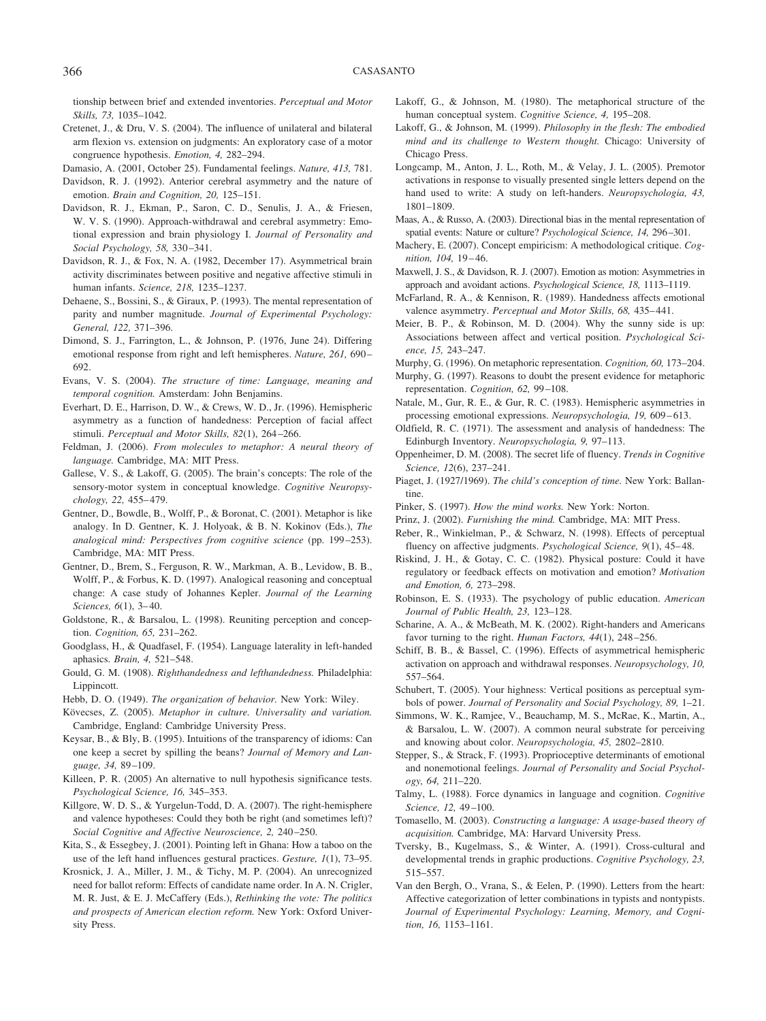tionship between brief and extended inventories. *Perceptual and Motor Skills, 73,* 1035–1042.

- Cretenet, J., & Dru, V. S. (2004). The influence of unilateral and bilateral arm flexion vs. extension on judgments: An exploratory case of a motor congruence hypothesis. *Emotion, 4,* 282–294.
- Damasio, A. (2001, October 25). Fundamental feelings. *Nature, 413,* 781.

Davidson, R. J. (1992). Anterior cerebral asymmetry and the nature of emotion. *Brain and Cognition, 20,* 125–151.

- Davidson, R. J., Ekman, P., Saron, C. D., Senulis, J. A., & Friesen, W. V. S. (1990). Approach-withdrawal and cerebral asymmetry: Emotional expression and brain physiology I. *Journal of Personality and Social Psychology, 58,* 330 –341.
- Davidson, R. J., & Fox, N. A. (1982, December 17). Asymmetrical brain activity discriminates between positive and negative affective stimuli in human infants. *Science, 218,* 1235–1237.
- Dehaene, S., Bossini, S., & Giraux, P. (1993). The mental representation of parity and number magnitude. *Journal of Experimental Psychology: General, 122,* 371–396.
- Dimond, S. J., Farrington, L., & Johnson, P. (1976, June 24). Differing emotional response from right and left hemispheres. *Nature, 261,* 690 – 692.
- Evans, V. S. (2004). *The structure of time: Language, meaning and temporal cognition.* Amsterdam: John Benjamins.
- Everhart, D. E., Harrison, D. W., & Crews, W. D., Jr. (1996). Hemispheric asymmetry as a function of handedness: Perception of facial affect stimuli. *Perceptual and Motor Skills, 82*(1), 264 –266.
- Feldman, J. (2006). *From molecules to metaphor: A neural theory of language.* Cambridge, MA: MIT Press.
- Gallese, V. S., & Lakoff, G. (2005). The brain's concepts: The role of the sensory-motor system in conceptual knowledge. *Cognitive Neuropsychology, 22,* 455– 479.
- Gentner, D., Bowdle, B., Wolff, P., & Boronat, C. (2001). Metaphor is like analogy. In D. Gentner, K. J. Holyoak, & B. N. Kokinov (Eds.), *The analogical mind: Perspectives from cognitive science* (pp. 199 –253). Cambridge, MA: MIT Press.
- Gentner, D., Brem, S., Ferguson, R. W., Markman, A. B., Levidow, B. B., Wolff, P., & Forbus, K. D. (1997). Analogical reasoning and conceptual change: A case study of Johannes Kepler. *Journal of the Learning Sciences, 6*(1), 3– 40.
- Goldstone, R., & Barsalou, L. (1998). Reuniting perception and conception. *Cognition, 65,* 231–262.
- Goodglass, H., & Quadfasel, F. (1954). Language laterality in left-handed aphasics. *Brain, 4,* 521–548.
- Gould, G. M. (1908). *Righthandedness and lefthandedness.* Philadelphia: Lippincott.
- Hebb, D. O. (1949). *The organization of behavior.* New York: Wiley.
- Kövecses, Z. (2005). *Metaphor in culture. Universality and variation.* Cambridge, England: Cambridge University Press.
- Keysar, B., & Bly, B. (1995). Intuitions of the transparency of idioms: Can one keep a secret by spilling the beans? *Journal of Memory and Language, 34,* 89 –109.
- Killeen, P. R. (2005) An alternative to null hypothesis significance tests. *Psychological Science, 16,* 345–353.
- Killgore, W. D. S., & Yurgelun-Todd, D. A. (2007). The right-hemisphere and valence hypotheses: Could they both be right (and sometimes left)? *Social Cognitive and Affective Neuroscience, 2,* 240 –250.
- Kita, S., & Essegbey, J. (2001). Pointing left in Ghana: How a taboo on the use of the left hand influences gestural practices. *Gesture, 1*(1), 73–95.
- Krosnick, J. A., Miller, J. M., & Tichy, M. P. (2004). An unrecognized need for ballot reform: Effects of candidate name order. In A. N. Crigler, M. R. Just, & E. J. McCaffery (Eds.), *Rethinking the vote: The politics and prospects of American election reform.* New York: Oxford University Press.
- Lakoff, G., & Johnson, M. (1980). The metaphorical structure of the human conceptual system. *Cognitive Science, 4,* 195–208.
- Lakoff, G., & Johnson, M. (1999). *Philosophy in the flesh: The embodied mind and its challenge to Western thought.* Chicago: University of Chicago Press.
- Longcamp, M., Anton, J. L., Roth, M., & Velay, J. L. (2005). Premotor activations in response to visually presented single letters depend on the hand used to write: A study on left-handers. *Neuropsychologia, 43,* 1801–1809.
- Maas, A., & Russo, A. (2003). Directional bias in the mental representation of spatial events: Nature or culture? *Psychological Science, 14,* 296 –301.
- Machery, E. (2007). Concept empiricism: A methodological critique. *Cognition, 104,* 19 – 46.
- Maxwell, J. S., & Davidson, R. J. (2007). Emotion as motion: Asymmetries in approach and avoidant actions. *Psychological Science, 18,* 1113–1119.
- McFarland, R. A., & Kennison, R. (1989). Handedness affects emotional valence asymmetry. Perceptual and Motor Skills, 68, 435-441.
- Meier, B. P., & Robinson, M. D. (2004). Why the sunny side is up: Associations between affect and vertical position. *Psychological Science, 15,* 243–247.
- Murphy, G. (1996). On metaphoric representation. *Cognition, 60,* 173–204.
- Murphy, G. (1997). Reasons to doubt the present evidence for metaphoric representation. *Cognition, 62,* 99 –108.
- Natale, M., Gur, R. E., & Gur, R. C. (1983). Hemispheric asymmetries in processing emotional expressions. *Neuropsychologia*, 19, 609-613.
- Oldfield, R. C. (1971). The assessment and analysis of handedness: The Edinburgh Inventory. *Neuropsychologia, 9,* 97–113.
- Oppenheimer, D. M. (2008). The secret life of fluency. *Trends in Cognitive Science, 12*(6), 237–241.
- Piaget, J. (1927/1969). *The child's conception of time.* New York: Ballantine.
- Pinker, S. (1997). *How the mind works.* New York: Norton.
- Prinz, J. (2002). *Furnishing the mind.* Cambridge, MA: MIT Press.
- Reber, R., Winkielman, P., & Schwarz, N. (1998). Effects of perceptual fluency on affective judgments. *Psychological Science*, 9(1), 45-48.
- Riskind, J. H., & Gotay, C. C. (1982). Physical posture: Could it have regulatory or feedback effects on motivation and emotion? *Motivation and Emotion, 6,* 273–298.
- Robinson, E. S. (1933). The psychology of public education. *American Journal of Public Health, 23,* 123–128.
- Scharine, A. A., & McBeath, M. K. (2002). Right-handers and Americans favor turning to the right. *Human Factors, 44*(1), 248 –256.
- Schiff, B. B., & Bassel, C. (1996). Effects of asymmetrical hemispheric activation on approach and withdrawal responses. *Neuropsychology, 10,* 557–564.
- Schubert, T. (2005). Your highness: Vertical positions as perceptual symbols of power. *Journal of Personality and Social Psychology, 89,* 1–21.
- Simmons, W. K., Ramjee, V., Beauchamp, M. S., McRae, K., Martin, A., & Barsalou, L. W. (2007). A common neural substrate for perceiving and knowing about color. *Neuropsychologia, 45,* 2802–2810.
- Stepper, S., & Strack, F. (1993). Proprioceptive determinants of emotional and nonemotional feelings. *Journal of Personality and Social Psychology, 64,* 211–220.
- Talmy, L. (1988). Force dynamics in language and cognition. *Cognitive Science, 12,* 49 –100.
- Tomasello, M. (2003). *Constructing a language: A usage-based theory of acquisition.* Cambridge, MA: Harvard University Press.
- Tversky, B., Kugelmass, S., & Winter, A. (1991). Cross-cultural and developmental trends in graphic productions. *Cognitive Psychology, 23,* 515–557.
- Van den Bergh, O., Vrana, S., & Eelen, P. (1990). Letters from the heart: Affective categorization of letter combinations in typists and nontypists. *Journal of Experimental Psychology: Learning, Memory, and Cognition, 16,* 1153–1161.